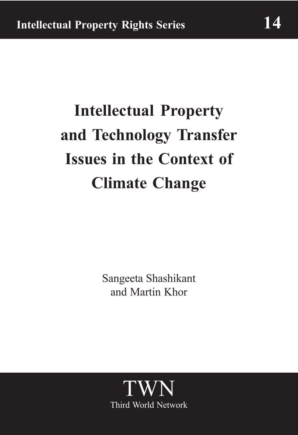# **Intellectual Property** and Technology Transfer **Issues in the Context of Climate Change**

Sangeeta Shashikant and Martin Khor

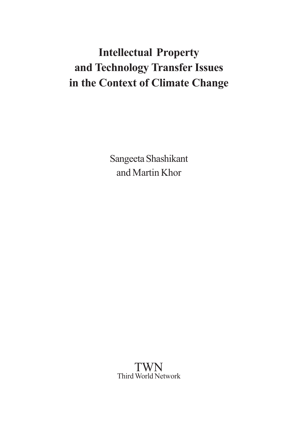## **Intellectual Property** and Technology Transfer Issues in the Context of Climate Change

Sangeeta Shashikant and Martin Khor

**TWN** Third World Network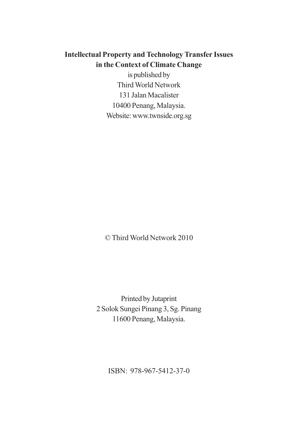### **Intellectual Property and Technology Transfer Issues** in the Context of Climate Change

is published by **Third World Network** 131 Jalan Macalister 10400 Penang, Malaysia. Website: www.twnside.org.sg

© Third World Network 2010

Printed by Jutaprint 2 Solok Sungei Pinang 3, Sg. Pinang 11600 Penang, Malaysia.

ISBN: 978-967-5412-37-0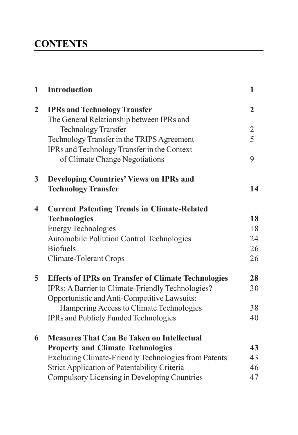### **CONTENTS**

| $\mathbf{1}$   | <b>Introduction</b>                                         | 1              |
|----------------|-------------------------------------------------------------|----------------|
| $\overline{2}$ | <b>IPRs and Technology Transfer</b>                         | $\overline{2}$ |
|                | The General Relationship between IPRs and                   |                |
|                | <b>Technology Transfer</b>                                  | $\overline{2}$ |
|                | Technology Transfer in the TRIPS Agreement                  | 5              |
|                | IPRs and Technology Transfer in the Context                 |                |
|                | of Climate Change Negotiations                              | 9              |
| 3              | <b>Developing Countries' Views on IPRs and</b>              |                |
|                | <b>Technology Transfer</b>                                  | 14             |
| 4              | <b>Current Patenting Trends in Climate-Related</b>          |                |
|                | <b>Technologies</b>                                         | 18             |
|                | <b>Energy Technologies</b>                                  | 18             |
|                | <b>Automobile Pollution Control Technologies</b>            | 24             |
|                | <b>Biofuels</b>                                             | 26             |
|                | <b>Climate-Tolerant Crops</b>                               | 26             |
| 5              | <b>Effects of IPRs on Transfer of Climate Technologies</b>  | 28             |
|                | IPRs: A Barrier to Climate-Friendly Technologies?           | 30             |
|                | Opportunistic and Anti-Competitive Lawsuits:                |                |
|                | Hampering Access to Climate Technologies                    | 38             |
|                | <b>IPRs and Publicly Funded Technologies</b>                | 40             |
| 6              | <b>Measures That Can Be Taken on Intellectual</b>           |                |
|                | <b>Property and Climate Technologies</b>                    | 43             |
|                | <b>Excluding Climate-Friendly Technologies from Patents</b> | 43             |
|                | <b>Strict Application of Patentability Criteria</b>         | 46             |
|                | Compulsory Licensing in Developing Countries                | 47             |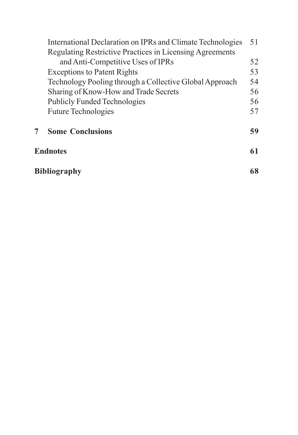|                 | International Declaration on IPRs and Climate Technologies      | 51 |  |  |
|-----------------|-----------------------------------------------------------------|----|--|--|
|                 | <b>Regulating Restrictive Practices in Licensing Agreements</b> |    |  |  |
|                 | and Anti-Competitive Uses of IPRs                               | 52 |  |  |
|                 | <b>Exceptions to Patent Rights</b>                              | 53 |  |  |
|                 | Technology Pooling through a Collective Global Approach         | 54 |  |  |
|                 | Sharing of Know-How and Trade Secrets                           | 56 |  |  |
|                 | <b>Publicly Funded Technologies</b>                             | 56 |  |  |
|                 | <b>Future Technologies</b>                                      | 57 |  |  |
|                 | <b>Some Conclusions</b>                                         | 59 |  |  |
| <b>Endnotes</b> |                                                                 |    |  |  |
|                 | <b>Bibliography</b>                                             |    |  |  |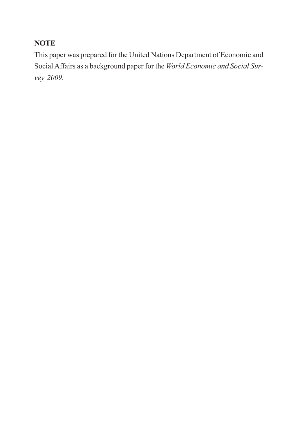### **NOTE**

This paper was prepared for the United Nations Department of Economic and Social Affairs as a background paper for the World Economic and Social Survey 2009.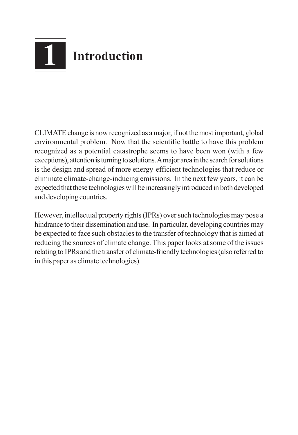

CLIMATE change is now recognized as a major, if not the most important, global environmental problem. Now that the scientific battle to have this problem recognized as a potential catastrophe seems to have been won (with a few exceptions), attention is turning to solutions. A major area in the search for solutions is the design and spread of more energy-efficient technologies that reduce or eliminate climate-change-inducing emissions. In the next few years, it can be expected that these technologies will be increasingly introduced in both developed and developing countries.

However, intellectual property rights (IPRs) over such technologies may pose a hindrance to their dissemination and use. In particular, developing countries may be expected to face such obstacles to the transfer of technology that is aimed at reducing the sources of climate change. This paper looks at some of the issues relating to IPRs and the transfer of climate-friendly technologies (also referred to in this paper as climate technologies).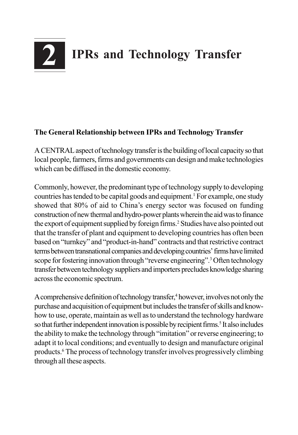

#### The General Relationship between IPRs and Technology Transfer

A CENTRAL aspect of technology transfer is the building of local capacity so that local people, farmers, firms and governments can design and make technologies which can be diffused in the domestic economy.

Commonly, however, the predominant type of technology supply to developing countries has tended to be capital goods and equipment.<sup>1</sup> For example, one study showed that 80% of aid to China's energy sector was focused on funding construction of new thermal and hydro-power plants wherein the aid was to finance the export of equipment supplied by foreign firms.<sup>2</sup> Studies have also pointed out that the transfer of plant and equipment to developing countries has often been based on "turnkey" and "product-in-hand" contracts and that restrictive contract terms between transnational companies and developing countries' firms have limited scope for fostering innovation through "reverse engineering".<sup>3</sup> Often technology transfer between technology suppliers and importers precludes knowledge sharing across the economic spectrum.

A comprehensive definition of technology transfer,<sup>4</sup> however, involves not only the purchase and acquisition of equipment but includes the transfer of skills and knowhow to use, operate, maintain as well as to understand the technology hardware so that further independent innovation is possible by recipient firms.<sup>5</sup> It also includes the ability to make the technology through "imitation" or reverse engineering; to adapt it to local conditions; and eventually to design and manufacture original products.<sup>6</sup> The process of technology transfer involves progressively climbing through all these aspects.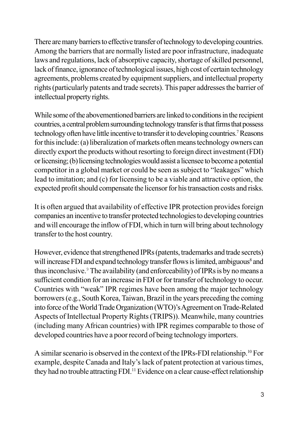There are many barriers to effective transfer of technology to developing countries. Among the barriers that are normally listed are poor infrastructure, inadequate laws and regulations, lack of absorptive capacity, shortage of skilled personnel, lack of finance, ignorance of technological issues, high cost of certain technology agreements, problems created by equipment suppliers, and intellectual property rights (particularly patents and trade secrets). This paper addresses the barrier of intellectual property rights.

While some of the abovementioned barriers are linked to conditions in the recipient countries, a central problem surrounding technology transfer is that firms that possess technology often have little incentive to transfer it to developing countries.<sup>7</sup> Reasons for this include: (a) liberalization of markets often means technology owners can directly export the products without resorting to foreign direct investment (FDI) or licensing; (b) licensing technologies would assist a licensee to become a potential competitor in a global market or could be seen as subject to "leakages" which lead to imitation; and (c) for licensing to be a viable and attractive option, the expected profit should compensate the licensor for his transaction costs and risks.

It is often argued that availability of effective IPR protection provides foreign companies an incentive to transfer protected technologies to developing countries and will encourage the inflow of FDI, which in turn will bring about technology transfer to the host country.

However, evidence that strengthened IPRs (patents, trademarks and trade secrets) will increase FDI and expand technology transfer flows is limited, ambiguous<sup>8</sup> and thus inconclusive.<sup>9</sup> The availability (and enforceability) of IPRs is by no means a sufficient condition for an increase in FDI or for transfer of technology to occur. Countries with "weak" IPR regimes have been among the major technology borrowers (e.g., South Korea, Taiwan, Brazil in the years preceding the coming into force of the World Trade Organization (WTO)'s Agreement on Trade-Related Aspects of Intellectual Property Rights (TRIPS)). Meanwhile, many countries (including many African countries) with IPR regimes comparable to those of developed countries have a poor record of being technology importers.

A similar scenario is observed in the context of the IPRs-FDI relationship.<sup>10</sup> For example, despite Canada and Italy's lack of patent protection at various times, they had no trouble attracting FDI.<sup>11</sup> Evidence on a clear cause-effect relationship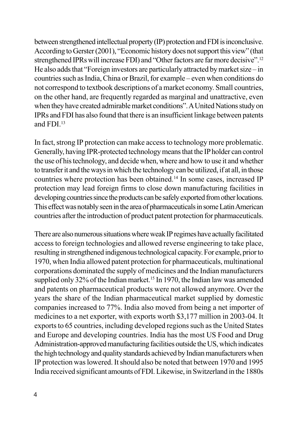between strengthened intellectual property (IP) protection and FDI is inconclusive. According to Gerster (2001), "Economic history does not support this view" (that strengthened IPRs will increase FDI) and "Other factors are far more decisive".<sup>12</sup> He also adds that "Foreign investors are particularly attracted by market size  $-$  in countries such as India, China or Brazil, for example – even when conditions do not correspond to textbook descriptions of a market economy. Small countries, on the other hand, are frequently regarded as marginal and unattractive, even when they have created admirable market conditions". A United Nations study on IPRs and FDI has also found that there is an insufficient linkage between patents and FDI.<sup>13</sup>

In fact, strong IP protection can make access to technology more problematic. Generally, having IPR-protected technology means that the IP holder can control the use of his technology, and decide when, where and how to use it and whether to transfer it and the ways in which the technology can be utilized, if at all, in those countries where protection has been obtained.<sup>14</sup> In some cases, increased IP protection may lead foreign firms to close down manufacturing facilities in developing countries since the products can be safely exported from other locations. This effect was notably seen in the area of pharmaceuticals in some Latin American countries after the introduction of product patent protection for pharmaceuticals.

There are also numerous situations where weak IP regimes have actually facilitated access to foreign technologies and allowed reverse engineering to take place, resulting in strengthened indigenous technological capacity. For example, prior to 1970, when India allowed patent protection for pharmaceuticals, multinational corporations dominated the supply of medicines and the Indian manufacturers supplied only 32% of the Indian market.<sup>15</sup> In 1970, the Indian law was amended and patents on pharmaceutical products were not allowed anymore. Over the years the share of the Indian pharmaceutical market supplied by domestic companies increased to 77%. India also moved from being a net importer of medicines to a net exporter, with exports worth \$3,177 million in 2003-04. It exports to 65 countries, including developed regions such as the United States and Europe and developing countries. India has the most US Food and Drug Administration-approved manufacturing facilities outside the US, which indicates the high technology and quality standards achieved by Indian manufacturers when IP protection was lowered. It should also be noted that between 1970 and 1995 India received significant amounts of FDI. Likewise, in Switzerland in the 1880s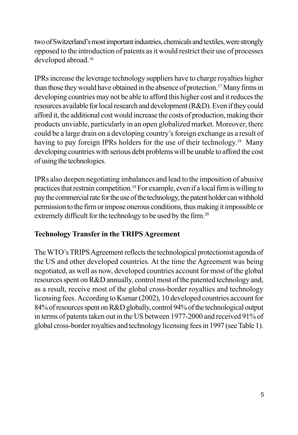two of Switzerland's most important industries, chemicals and textiles, were strongly opposed to the introduction of patents as it would restrict their use of processes developed abroad.<sup>16</sup>

IPRs increase the leverage technology suppliers have to charge royalties higher than those they would have obtained in the absence of protection.<sup>17</sup> Many firms in developing countries may not be able to afford this higher cost and it reduces the resources available for local research and development (R&D). Even if they could afford it, the additional cost would increase the costs of production, making their products unviable, particularly in an open globalized market. Moreover, there could be a large drain on a developing country's foreign exchange as a result of having to pay foreign IPRs holders for the use of their technology.<sup>18</sup> Many developing countries with serious debt problems will be unable to afford the cost of using the technologies.

IPRs also deepen negotiating imbalances and lead to the imposition of abusive practices that restrain competition.<sup>19</sup> For example, even if a local firm is willing to pay the commercial rate for the use of the technology, the patent holder can withhold permission to the firm or impose onerous conditions, thus making it impossible or extremely difficult for the technology to be used by the firm.<sup>20</sup>

### **Technology Transfer in the TRIPS Agreement**

The WTO's TRIPS Agreement reflects the technological protectionist agenda of the US and other developed countries. At the time the Agreement was being negotiated, as well as now, developed countries account for most of the global resources spent on R&D annually, control most of the patented technology and, as a result, receive most of the global cross-border royalties and technology licensing fees. According to Kumar (2002), 10 developed countries account for 84% of resources spent on R&D globally, control 94% of the technological output in terms of patents taken out in the US between 1977-2000 and received 91% of global cross-border royalties and technology licensing fees in 1997 (see Table 1).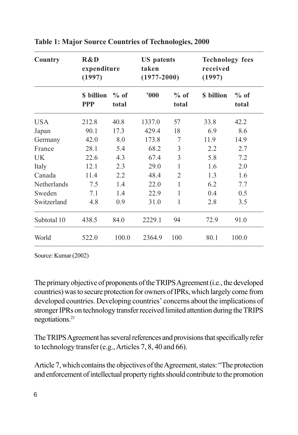| Country     | R&D<br>expenditure<br>(1997) |                 | <b>US</b> patents<br>taken<br>$(1977 - 2000)$ |                 | <b>Technology fees</b><br>received<br>(1997) |                 |
|-------------|------------------------------|-----------------|-----------------------------------------------|-----------------|----------------------------------------------|-----------------|
|             | \$ billion<br><b>PPP</b>     | $%$ of<br>total | 000                                           | $%$ of<br>total | \$ billion                                   | $%$ of<br>total |
| <b>USA</b>  | 212.8                        | 40.8            | 1337.0                                        | 57              | 33.8                                         | 42.2            |
| Japan       | 90.1                         | 17.3            | 429.4                                         | 18              | 6.9                                          | 8.6             |
| Germany     | 42.0                         | 8.0             | 173.8                                         | 7               | 11.9                                         | 14.9            |
| France      | 28.1                         | 5.4             | 68.2                                          | 3               | 2.2                                          | 2.7             |
| UK.         | 22.6                         | 4.3             | 67.4                                          | 3               | 5.8                                          | 7.2             |
| Italy       | 12.1                         | 2.3             | 29.0                                          | 1               | 1.6                                          | 2.0             |
| Canada      | 11.4                         | 2.2             | 48.4                                          | $\overline{2}$  | 1.3                                          | 1.6             |
| Netherlands | 7.5                          | 1.4             | 22.0                                          | 1               | 6.2                                          | 7.7             |
| Sweden      | 7.1                          | 1.4             | 22.9                                          | 1               | 0.4                                          | 0.5             |
| Switzerland | 4.8                          | 0.9             | 31.0                                          | 1               | 2.8                                          | 3.5             |
| Subtotal 10 | 438.5                        | 84.0            | 2229.1                                        | 94              | 72.9                                         | 91.0            |
| World       | 522.0                        | 100.0           | 2364.9                                        | 100             | 80.1                                         | 100.0           |

**Table 1: Major Source Countries of Technologies, 2000** 

Source: Kumar (2002)

The primary objective of proponents of the TRIPS Agreement (i.e., the developed countries) was to secure protection for owners of IPRs, which largely come from developed countries. Developing countries' concerns about the implications of stronger IPRs on technology transfer received limited attention during the TRIPS negotiations.<sup>21</sup>

The TRIPS Agreement has several references and provisions that specifically refer to technology transfer (e.g., Articles 7, 8, 40 and 66).

Article 7, which contains the objectives of the Agreement, states: "The protection and enforcement of intellectual property rights should contribute to the promotion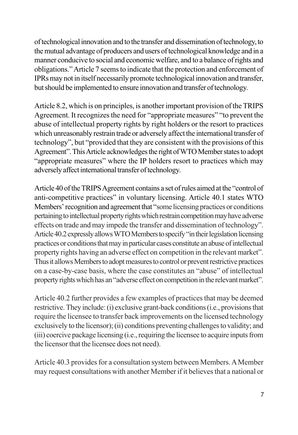of technological innovation and to the transfer and dissemination of technology, to the mutual advantage of producers and users of technological knowledge and in a manner conducive to social and economic welfare, and to a balance of rights and obligations." Article 7 seems to indicate that the protection and enforcement of IPRs may not in itself necessarily promote technological innovation and transfer, but should be implemented to ensure innovation and transfer of technology.

Article 8.2, which is on principles, is another important provision of the TRIPS Agreement. It recognizes the need for "appropriate measures" "to prevent the abuse of intellectual property rights by right holders or the resort to practices which unreasonably restrain trade or adversely affect the international transfer of technology", but "provided that they are consistent with the provisions of this Agreement". This Article acknowledges the right of WTO Member states to adopt "appropriate measures" where the IP holders resort to practices which may adversely affect international transfer of technology.

Article 40 of the TRIPS Agreement contains a set of rules aimed at the "control of anti-competitive practices" in voluntary licensing. Article 40.1 states WTO Members' recognition and agreement that "some licensing practices or conditions" pertaining to intellectual property rights which restrain competition may have adverse effects on trade and may impede the transfer and dissemination of technology". Article 40.2 expressly allows WTO Members to specify "in their legislation licensing practices or conditions that may in particular cases constitute an abuse of intellectual property rights having an adverse effect on competition in the relevant market". Thus it allows Members to adopt measures to control or prevent restrictive practices on a case-by-case basis, where the case constitutes an "abuse" of intellectual property rights which has an "adverse effect on competition in the relevant market".

Article 40.2 further provides a few examples of practices that may be deemed restrictive. They include: (i) exclusive grant-back conditions (i.e., provisions that require the licensee to transfer back improvements on the licensed technology exclusively to the licensor); (ii) conditions preventing challenges to validity; and (iii) coercive package licensing (i.e., requiring the licensee to acquire inputs from the licensor that the licensee does not need).

Article 40.3 provides for a consultation system between Members. A Member may request consultations with another Member if it believes that a national or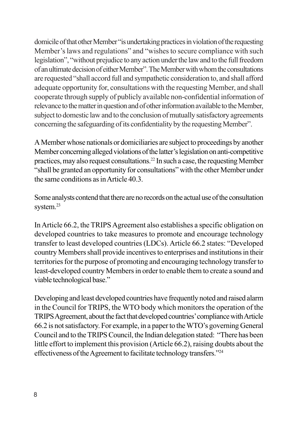domicile of that other Member "is undertaking practices in violation of the requesting Member's laws and regulations" and "wishes to secure compliance with such legislation", "without prejudice to any action under the law and to the full freedom of an ultimate decision of either Member". The Member with whom the consultations are requested "shall accord full and sympathetic consideration to, and shall afford adequate opportunity for, consultations with the requesting Member, and shall cooperate through supply of publicly available non-confidential information of relevance to the matter in question and of other information available to the Member, subject to domestic law and to the conclusion of mutually satisfactory agreements concerning the safeguarding of its confidentiality by the requesting Member".

A Member whose nationals or domiciliaries are subject to proceedings by another Member concerning alleged violations of the latter's legislation on anti-competitive practices, may also request consultations.<sup>22</sup> In such a case, the requesting Member "shall be granted an opportunity for consultations" with the other Member under the same conditions as in Article 40.3.

Some analysts contend that there are no records on the actual use of the consultation system. $^{23}$ 

In Article 66.2, the TRIPS Agreement also establishes a specific obligation on developed countries to take measures to promote and encourage technology transfer to least developed countries (LDCs). Article 66.2 states: "Developed country Members shall provide incentives to enterprises and institutions in their territories for the purpose of promoting and encouraging technology transfer to least-developed country Members in order to enable them to create a sound and viable technological base."

Developing and least developed countries have frequently noted and raised alarm in the Council for TRIPS, the WTO body which monitors the operation of the TRIPS Agreement, about the fact that developed countries' compliance with Article 66.2 is not satisfactory. For example, in a paper to the WTO's governing General Council and to the TRIPS Council, the Indian delegation stated: "There has been little effort to implement this provision (Article 66.2), raising doubts about the effectiveness of the Agreement to facilitate technology transfers."24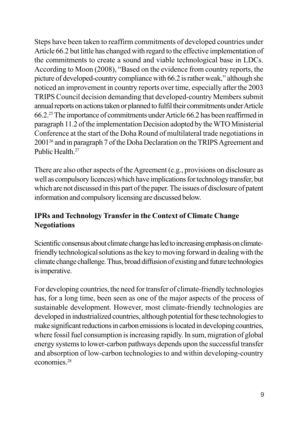Steps have been taken to reaffirm commitments of developed countries under Article 66.2 but little has changed with regard to the effective implementation of the commitments to create a sound and viable technological base in LDCs. According to Moon (2008), "Based on the evidence from country reports, the picture of developed-country compliance with 66.2 is rather weak," although she noticed an improvement in country reports over time, especially after the 2003 TRIPS Council decision demanding that developed-country Members submit annual reports on actions taken or planned to fulfil their commitments under Article 66.2.<sup>25</sup> The importance of commitments under Article 66.2 has been reaffirmed in paragraph 11.2 of the implementation Decision adopted by the WTO Ministerial Conference at the start of the Doha Round of multilateral trade negotiations in 2001<sup>26</sup> and in paragraph 7 of the Doha Declaration on the TRIPS Agreement and Public Health.<sup>27</sup>

There are also other aspects of the Agreement (e.g., provisions on disclosure as well as compulsory licences) which have implications for technology transfer, but which are not discussed in this part of the paper. The issues of disclosure of patent information and compulsory licensing are discussed below.

### IPRs and Technology Transfer in the Context of Climate Change **Negotiations**

Scientific consensus about climate change has led to increasing emphasis on climatefriendly technological solutions as the key to moving forward in dealing with the climate change challenge. Thus, broad diffusion of existing and future technologies is imperative.

For developing countries, the need for transfer of climate-friendly technologies has, for a long time, been seen as one of the major aspects of the process of sustainable development. However, most climate-friendly technologies are developed in industrialized countries, although potential for these technologies to make significant reductions in carbon emissions is located in developing countries, where fossil fuel consumption is increasing rapidly. In sum, migration of global energy systems to lower-carbon pathways depends upon the successful transfer and absorption of low-carbon technologies to and within developing-country economies<sup>28</sup>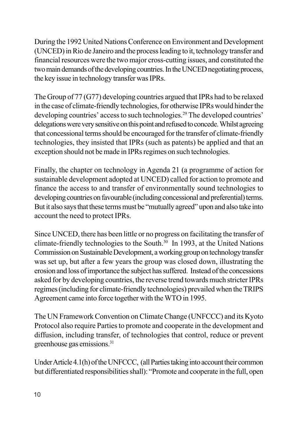During the 1992 United Nations Conference on Environment and Development (UNCED) in Rio de Janeiro and the process leading to it, technology transfer and financial resources were the two major cross-cutting issues, and constituted the two main demands of the developing countries. In the UNCED negotiating process, the key issue in technology transfer was IPRs.

The Group of 77 (G77) developing countries argued that IPRs had to be relaxed in the case of climate-friendly technologies, for otherwise IPRs would hinder the developing countries' access to such technologies.<sup>29</sup> The developed countries' delegations were very sensitive on this point and refused to concede. Whilst agreeing that concessional terms should be encouraged for the transfer of climate-friendly technologies, they insisted that IPRs (such as patents) be applied and that an exception should not be made in IPRs regimes on such technologies.

Finally, the chapter on technology in Agenda 21 (a programme of action for sustainable development adopted at UNCED) called for action to promote and finance the access to and transfer of environmentally sound technologies to developing countries on favourable (including concessional and preferential) terms. But it also says that these terms must be "mutually agreed" upon and also take into account the need to protect IPRs.

Since UNCED, there has been little or no progress on facilitating the transfer of climate-friendly technologies to the South.<sup>30</sup> In 1993, at the United Nations Commission on Sustainable Development, a working group on technology transfer was set up, but after a few years the group was closed down, illustrating the erosion and loss of importance the subject has suffered. Instead of the concessions asked for by developing countries, the reverse trend towards much stricter IPRs regimes (including for climate-friendly technologies) prevailed when the TRIPS Agreement came into force together with the WTO in 1995.

The UN Framework Convention on Climate Change (UNFCCC) and its Kyoto Protocol also require Parties to promote and cooperate in the development and diffusion, including transfer, of technologies that control, reduce or prevent greenhouse gas emissions.<sup>31</sup>

Under Article 4.1(h) of the UNFCCC, (all Parties taking into account their common but differentiated responsibilities shall): "Promote and cooperate in the full, open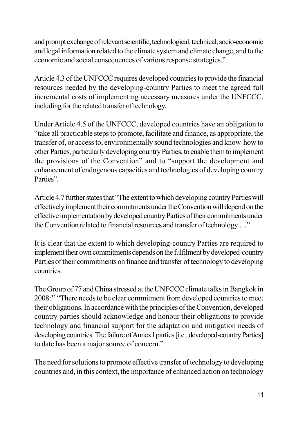and prompt exchange of relevant scientific, technological, technical, socio-economic and legal information related to the climate system and climate change, and to the economic and social consequences of various response strategies."

Article 4.3 of the UNFCCC requires developed countries to provide the financial resources needed by the developing-country Parties to meet the agreed full incremental costs of implementing necessary measures under the UNFCCC, including for the related transfer of technology.

Under Article 4.5 of the UNFCCC, developed countries have an obligation to "take all practicable steps to promote, facilitate and finance, as appropriate, the transfer of, or access to, environmentally sound technologies and know-how to other Parties, particularly developing country Parties, to enable them to implement the provisions of the Convention" and to "support the development and enhancement of endogenous capacities and technologies of developing country Parties".

Article 4.7 further states that "The extent to which developing country Parties will effectively implement their commitments under the Convention will depend on the effective implementation by developed country Parties of their commitments under the Convention related to financial resources and transfer of technology ..."

It is clear that the extent to which developing-country Parties are required to implement their own commitments depends on the fulfilment by developed-country Parties of their commitments on finance and transfer of technology to developing countries.

The Group of 77 and China stressed at the UNFCCC climate talks in Bangkok in 2008<sup>32</sup> "There needs to be clear commitment from developed countries to meet their obligations. In accordance with the principles of the Convention, developed country parties should acknowledge and honour their obligations to provide technology and financial support for the adaptation and mitigation needs of developing countries. The failure of Annex I parties [i.e., developed-country Parties] to date has been a major source of concern."

The need for solutions to promote effective transfer of technology to developing countries and, in this context, the importance of enhanced action on technology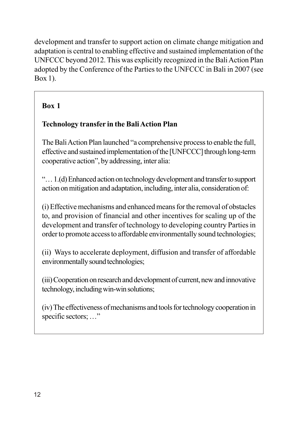development and transfer to support action on climate change mitigation and adaptation is central to enabling effective and sustained implementation of the UNFCCC beyond 2012. This was explicitly recognized in the Bali Action Plan adopted by the Conference of the Parties to the UNFCCC in Bali in 2007 (see Box 1).

### Box 1

### **Technology transfer in the Bali Action Plan**

The Bali Action Plan launched "a comprehensive process to enable the full, effective and sustained implementation of the [UNFCCC] through long-term cooperative action", by addressing, inter alia:

"... 1.(d) Enhanced action on technology development and transfer to support action on mitigation and adaptation, including, inter alia, consideration of:

(i) Effective mechanisms and enhanced means for the removal of obstacles to, and provision of financial and other incentives for scaling up of the development and transfer of technology to developing country Parties in order to promote access to affordable environmentally sound technologies;

(ii) Ways to accelerate deployment, diffusion and transfer of affordable environmentally sound technologies;

(iii) Cooperation on research and development of current, new and innovative technology, including win-win solutions;

(iv) The effectiveness of mechanisms and tools for technology cooperation in specific sectors; ..."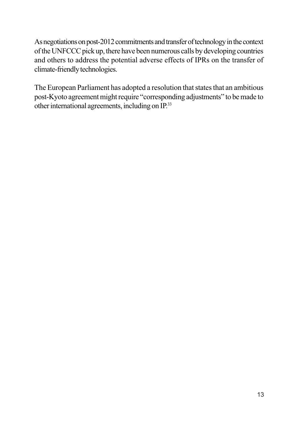As negotiations on post-2012 commitments and transfer of technology in the context of the UNFCCC pick up, there have been numerous calls by developing countries and others to address the potential adverse effects of IPRs on the transfer of climate-friendly technologies.

The European Parliament has adopted a resolution that states that an ambitious post-Kyoto agreement might require "corresponding adjustments" to be made to other international agreements, including on IP.<sup>33</sup>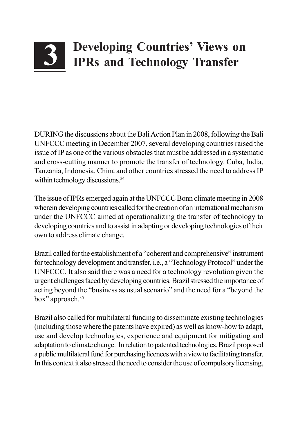# **Developing Countries' Views on IPRs and Technology Transfer**

DURING the discussions about the Bali Action Plan in 2008, following the Bali UNFCCC meeting in December 2007, several developing countries raised the issue of IP as one of the various obstacles that must be addressed in a systematic and cross-cutting manner to promote the transfer of technology. Cuba, India, Tanzania, Indonesia, China and other countries stressed the need to address IP within technology discussions.<sup>34</sup>

The issue of IPRs emerged again at the UNFCCC Bonn climate meeting in 2008 wherein developing countries called for the creation of an international mechanism under the UNFCCC aimed at operationalizing the transfer of technology to developing countries and to assist in adapting or developing technologies of their own to address climate change.

Brazil called for the establishment of a "coherent and comprehensive" instrument for technology development and transfer, i.e., a "Technology Protocol" under the UNFCCC. It also said there was a need for a technology revolution given the urgent challenges faced by developing countries. Brazil stressed the importance of acting beyond the "business as usual scenario" and the need for a "beyond the box" approach.<sup>35</sup>

Brazil also called for multilateral funding to disseminate existing technologies (including those where the patents have expired) as well as know-how to adapt, use and develop technologies, experience and equipment for mitigating and adaptation to climate change. In relation to patented technologies, Brazil proposed a public multilateral fund for purchasing licences with a view to facilitating transfer. In this context it also stressed the need to consider the use of compulsory licensing,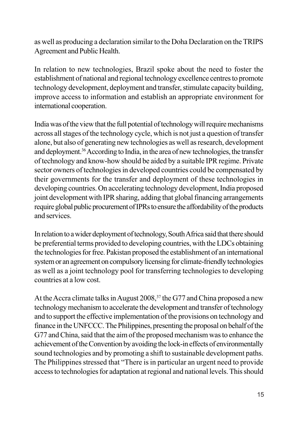as well as producing a declaration similar to the Doha Declaration on the TRIPS Agreement and Public Health.

In relation to new technologies, Brazil spoke about the need to foster the establishment of national and regional technology excellence centres to promote technology development, deployment and transfer, stimulate capacity building, improve access to information and establish an appropriate environment for international cooperation.

India was of the view that the full potential of technology will require mechanisms across all stages of the technology cycle, which is not just a question of transfer alone, but also of generating new technologies as well as research, development and deployment.<sup>36</sup> According to India, in the area of new technologies, the transfer of technology and know-how should be aided by a suitable IPR regime. Private sector owners of technologies in developed countries could be compensated by their governments for the transfer and deployment of these technologies in developing countries. On accelerating technology development, India proposed joint development with IPR sharing, adding that global financing arrangements require global public procurement of IPRs to ensure the affordability of the products and services.

In relation to a wider deployment of technology, South Africa said that there should be preferential terms provided to developing countries, with the LDCs obtaining the technologies for free. Pakistan proposed the establishment of an international system or an agreement on compulsory licensing for climate-friendly technologies as well as a joint technology pool for transferring technologies to developing countries at a low cost.

At the Accra climate talks in August 2008,<sup>37</sup> the G77 and China proposed a new technology mechanism to accelerate the development and transfer of technology and to support the effective implementation of the provisions on technology and finance in the UNFCCC. The Philippines, presenting the proposal on behalf of the G77 and China, said that the aim of the proposed mechanism was to enhance the achievement of the Convention by avoiding the lock-in effects of environmentally sound technologies and by promoting a shift to sustainable development paths. The Philippines stressed that "There is in particular an urgent need to provide" access to technologies for adaptation at regional and national levels. This should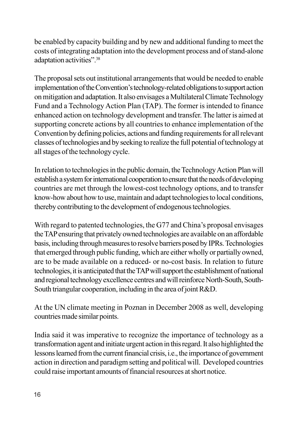be enabled by capacity building and by new and additional funding to meet the costs of integrating adaptation into the development process and of stand-alone adaptation activities".<sup>38</sup>

The proposal sets out institutional arrangements that would be needed to enable implementation of the Convention's technology-related obligations to support action on mitigation and adaptation. It also envisages a Multilateral Climate Technology Fund and a Technology Action Plan (TAP). The former is intended to finance enhanced action on technology development and transfer. The latter is aimed at supporting concrete actions by all countries to enhance implementation of the Convention by defining policies, actions and funding requirements for all relevant classes of technologies and by seeking to realize the full potential of technology at all stages of the technology cycle.

In relation to technologies in the public domain, the Technology Action Plan will establish a system for international cooperation to ensure that the needs of developing countries are met through the lowest-cost technology options, and to transfer know-how about how to use, maintain and adapt technologies to local conditions, thereby contributing to the development of endogenous technologies.

With regard to patented technologies, the G77 and China's proposal envisages the TAP ensuring that privately owned technologies are available on an affordable basis, including through measures to resolve barriers posed by IPRs. Technologies that emerged through public funding, which are either wholly or partially owned, are to be made available on a reduced- or no-cost basis. In relation to future technologies, it is anticipated that the TAP will support the establishment of national and regional technology excellence centres and will reinforce North-South, South-South triangular cooperation, including in the area of joint R&D.

At the UN climate meeting in Poznan in December 2008 as well, developing countries made similar points.

India said it was imperative to recognize the importance of technology as a transformation agent and initiate urgent action in this regard. It also highlighted the lessons learned from the current financial crisis, i.e., the importance of government action in direction and paradigm setting and political will. Developed countries could raise important amounts of financial resources at short notice.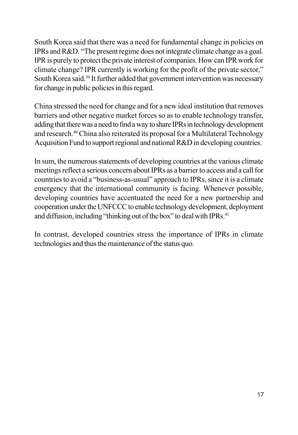South Korea said that there was a need for fundamental change in policies on IPRs and R&D. "The present regime does not integrate climate change as a goal. IPR is purely to protect the private interest of companies. How can IPR work for climate change? IPR currently is working for the profit of the private sector," South Korea said.<sup>39</sup> It further added that government intervention was necessary for change in public policies in this regard.

China stressed the need for change and for a new ideal institution that removes barriers and other negative market forces so as to enable technology transfer, adding that there was a need to find a way to share IPRs in technology development and research.<sup>40</sup> China also reiterated its proposal for a Multilateral Technology Acquisition Fund to support regional and national R&D in developing countries.

In sum, the numerous statements of developing countries at the various climate meetings reflect a serious concern about IPRs as a barrier to access and a call for countries to avoid a "business-as-usual" approach to IPRs, since it is a climate emergency that the international community is facing. Whenever possible, developing countries have accentuated the need for a new partnership and cooperation under the UNFCCC to enable technology development, deployment and diffusion, including "thinking out of the box" to deal with IPRs.<sup>41</sup>

In contrast, developed countries stress the importance of IPRs in climate technologies and thus the maintenance of the status quo.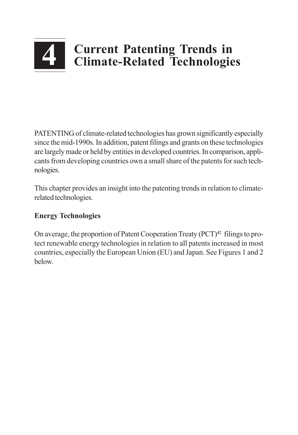### **Current Patenting Trends in**  $\overline{4}$ **Climate-Related Technologies**

PATENTING of climate-related technologies has grown significantly especially since the mid-1990s. In addition, patent filings and grants on these technologies are largely made or held by entities in developed countries. In comparison, applicants from developing countries own a small share of the patents for such technologies.

This chapter provides an insight into the patenting trends in relation to climaterelated technologies.

### **Energy Technologies**

On average, the proportion of Patent Cooperation Treaty (PCT)<sup>42</sup> filings to protect renewable energy technologies in relation to all patents increased in most countries, especially the European Union (EU) and Japan. See Figures 1 and 2 below.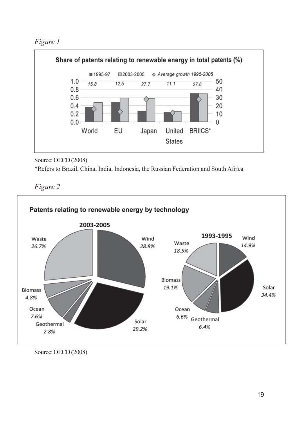Figure 1



Source: OECD (2008)

\*Refers to Brazil, China, India, Indonesia, the Russian Federation and South Africa

Figure 2



Source: OECD (2008)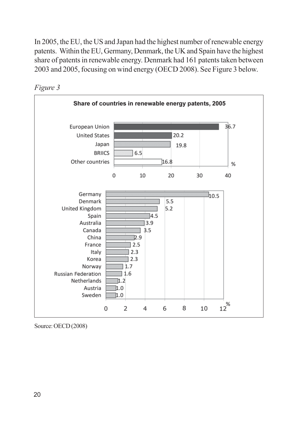In 2005, the EU, the US and Japan had the highest number of renewable energy patents. Within the EU, Germany, Denmark, the UK and Spain have the highest share of patents in renewable energy. Denmark had 161 patents taken between 2003 and 2005, focusing on wind energy (OECD 2008). See Figure 3 below.





Source: OECD (2008)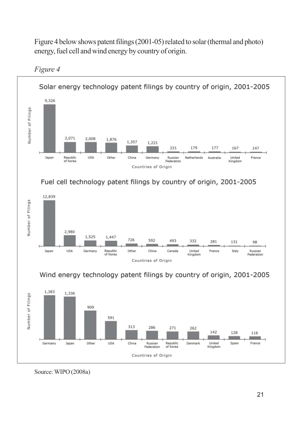Figure 4 below shows patent filings (2001-05) related to solar (thermal and photo) energy, fuel cell and wind energy by country of origin.



Figure 4

Source: WIPO (2008a)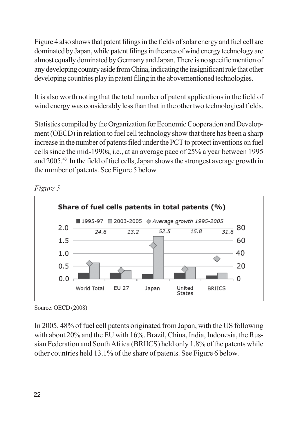Figure 4 also shows that patent filings in the fields of solar energy and fuel cell are dominated by Japan, while patent filings in the area of wind energy technology are almost equally dominated by Germany and Japan. There is no specific mention of any developing country aside from China, indicating the insignificant role that other developing countries play in patent filing in the abovementioned technologies.

It is also worth noting that the total number of patent applications in the field of wind energy was considerably less than that in the other two technological fields.

Statistics compiled by the Organization for Economic Cooperation and Development (OECD) in relation to fuel cell technology show that there has been a sharp increase in the number of patents filed under the PCT to protect inventions on fuel cells since the mid-1990s, i.e., at an average pace of 25% a year between 1995 and 2005.<sup>43</sup> In the field of fuel cells, Japan shows the strongest average growth in the number of patents. See Figure 5 below.

#### Figure 5



Source: OECD (2008)

In 2005, 48% of fuel cell patents originated from Japan, with the US following with about 20% and the EU with 16%. Brazil, China, India, Indonesia, the Russian Federation and South Africa (BRIICS) held only 1.8% of the patents while other countries held 13.1% of the share of patents. See Figure 6 below.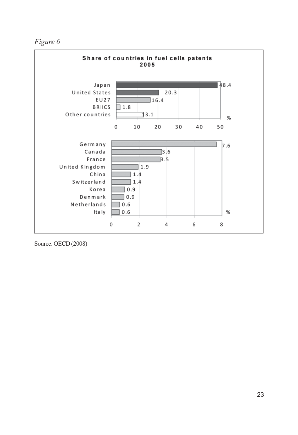Figure 6



Source: OECD (2008)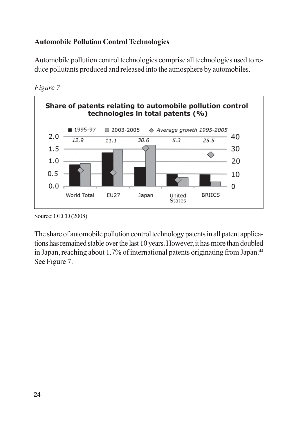### **Automobile Pollution Control Technologies**

Automobile pollution control technologies comprise all technologies used to reduce pollutants produced and released into the atmosphere by automobiles.





The share of automobile pollution control technology patents in all patent applications has remained stable over the last 10 years. However, it has more than doubled in Japan, reaching about 1.7% of international patents originating from Japan.<sup>44</sup> See Figure 7.

Source: OECD (2008)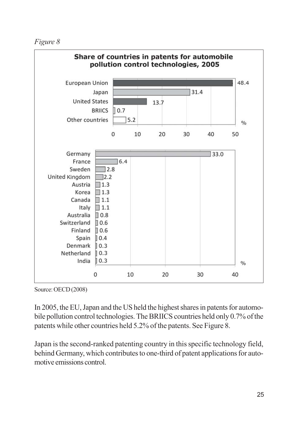Figure 8



Source: OECD (2008)

In 2005, the EU, Japan and the US held the highest shares in patents for automobile pollution control technologies. The BRIICS countries held only 0.7% of the patents while other countries held 5.2% of the patents. See Figure 8.

Japan is the second-ranked patenting country in this specific technology field, behind Germany, which contributes to one-third of patent applications for automotive emissions control.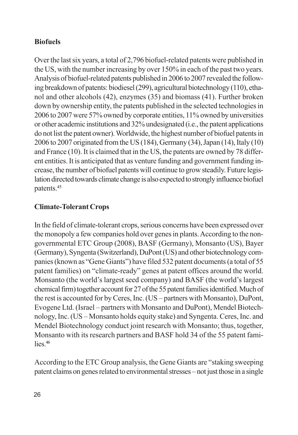### **Biofuels**

Over the last six years, a total of 2,796 biofuel-related patents were published in the US, with the number increasing by over 150% in each of the past two years. Analysis of biofuel-related patents published in 2006 to 2007 revealed the following breakdown of patents: biodiesel (299), agricultural biotechnology (110), ethanol and other alcohols (42), enzymes (35) and biomass (41). Further broken down by ownership entity, the patents published in the selected technologies in 2006 to 2007 were 57% owned by corporate entities, 11% owned by universities or other academic institutions and 32% undesignated (i.e., the patent applications do not list the patent owner). Worldwide, the highest number of biofuel patents in 2006 to 2007 originated from the US (184), Germany (34), Japan (14), Italy (10) and France (10). It is claimed that in the US, the patents are owned by 78 different entities. It is anticipated that as venture funding and government funding increase, the number of biofuel patents will continue to grow steadily. Future legislation directed towards climate change is also expected to strongly influence biofuel patents.<sup>45</sup>

### **Climate-Tolerant Crops**

In the field of climate-tolerant crops, serious concerns have been expressed over the monopoly a few companies hold over genes in plants. According to the nongovernmental ETC Group (2008), BASF (Germany), Monsanto (US), Bayer (Germany), Syngenta (Switzerland), DuPont (US) and other biotechnology companies (known as "Gene Giants") have filed 532 patent documents (a total of 55 patent families) on "climate-ready" genes at patent offices around the world. Monsanto (the world's largest seed company) and BASF (the world's largest chemical firm) together account for 27 of the 55 patent families identified. Much of the rest is accounted for by Ceres, Inc. (US – partners with Monsanto), DuPont, Evogene Ltd. (Israel - partners with Monsanto and DuPont), Mendel Biotechnology, Inc. (US – Monsanto holds equity stake) and Syngenta. Ceres, Inc. and Mendel Biotechnology conduct joint research with Monsanto; thus, together, Monsanto with its research partners and BASF hold 34 of the 55 patent fami- $\frac{1}{1}$  ies  $46$ 

According to the ETC Group analysis, the Gene Giants are "staking sweeping" patent claims on genes related to environmental stresses – not just those in a single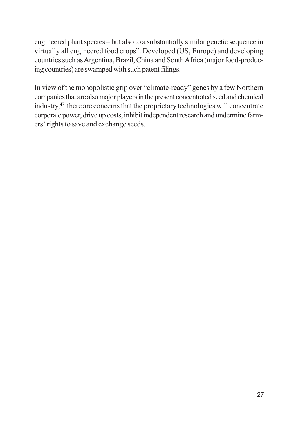engineered plant species – but also to a substantially similar genetic sequence in virtually all engineered food crops". Developed (US, Europe) and developing countries such as Argentina, Brazil, China and South Africa (major food-producing countries) are swamped with such patent filings.

In view of the monopolistic grip over "climate-ready" genes by a few Northern companies that are also major players in the present concentrated seed and chemical industry,<sup>47</sup> there are concerns that the proprietary technologies will concentrate corporate power, drive up costs, inhibit independent research and undermine farmers' rights to save and exchange seeds.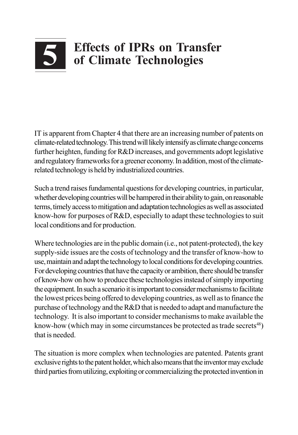# **Effects of IPRs on Transfer** of Climate Technologies

IT is apparent from Chapter 4 that there are an increasing number of patents on climate-related technology. This trend will likely intensify as climate change concerns further heighten, funding for R&D increases, and governments adopt legislative and regulatory frameworks for a greener economy. In addition, most of the climaterelated technology is held by industrialized countries.

Such a trend raises fundamental questions for developing countries, in particular, whether developing countries will be hampered in their ability to gain, on reasonable terms, timely access to mitigation and adaptation technologies as well as associated know-how for purposes of R&D, especially to adapt these technologies to suit local conditions and for production.

Where technologies are in the public domain (*i.e.*, not patent-protected), the key supply-side issues are the costs of technology and the transfer of know-how to use, maintain and adapt the technology to local conditions for developing countries. For developing countries that have the capacity or ambition, there should be transfer of know-how on how to produce these technologies instead of simply importing the equipment. In such a scenario it is important to consider mechanisms to facilitate the lowest prices being offered to developing countries, as well as to finance the purchase of technology and the R&D that is needed to adapt and manufacture the technology. It is also important to consider mechanisms to make available the know-how (which may in some circumstances be protected as trade secrets<sup>48</sup>) that is needed.

The situation is more complex when technologies are patented. Patents grant exclusive rights to the patent holder, which also means that the inventor may exclude third parties from utilizing, exploiting or commercializing the protected invention in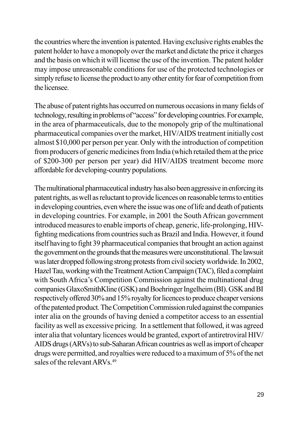the countries where the invention is patented. Having exclusive rights enables the patent holder to have a monopoly over the market and dictate the price it charges and the basis on which it will license the use of the invention. The patent holder may impose unreasonable conditions for use of the protected technologies or simply refuse to license the product to any other entity for fear of competition from the licensee.

The abuse of patent rights has occurred on numerous occasions in many fields of technology, resulting in problems of "access" for developing countries. For example, in the area of pharmaceuticals, due to the monopoly grip of the multinational pharmaceutical companies over the market, HIV/AIDS treatment initially cost almost \$10,000 per person per year. Only with the introduction of competition from producers of generic medicines from India (which retailed them at the price of \$200-300 per person per year) did HIV/AIDS treatment become more affordable for developing-country populations.

The multinational pharmaceutical industry has also been aggressive in enforcing its patent rights, as well as reluctant to provide licences on reasonable terms to entities in developing countries, even where the issue was one of life and death of patients in developing countries. For example, in 2001 the South African government introduced measures to enable imports of cheap, generic, life-prolonging, HIVfighting medications from countries such as Brazil and India. However, it found itself having to fight 39 pharmaceutical companies that brought an action against the government on the grounds that the measures were unconstitutional. The lawsuit was later dropped following strong protests from civil society worldwide. In 2002, Hazel Tau, working with the Treatment Action Campaign (TAC), filed a complaint with South Africa's Competition Commission against the multinational drug companies GlaxoSmithKline (GSK) and Boehringer Ingelheim (BI). GSK and BI respectively offered 30% and 15% royalty for licences to produce cheaper versions of the patented product. The Competition Commission ruled against the companies inter alia on the grounds of having denied a competitor access to an essential facility as well as excessive pricing. In a settlement that followed, it was agreed inter alia that voluntary licences would be granted, export of antiretroviral HIV/ AIDS drugs (ARVs) to sub-Saharan African countries as well as import of cheaper drugs were permitted, and royalties were reduced to a maximum of 5% of the net sales of the relevant ARVs.<sup>49</sup>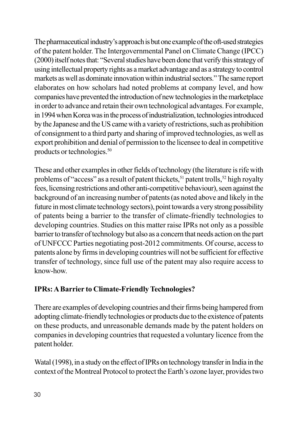The pharmaceutical industry's approach is but one example of the off-used strategies of the patent holder. The Intergovernmental Panel on Climate Change (IPCC) (2000) itself notes that: "Several studies have been done that verify this strategy of using intellectual property rights as a market advantage and as a strategy to control markets as well as dominate innovation within industrial sectors." The same report elaborates on how scholars had noted problems at company level, and how companies have prevented the introduction of new technologies in the marketplace in order to advance and retain their own technological advantages. For example, in 1994 when Korea was in the process of industrialization, technologies introduced by the Japanese and the US came with a variety of restrictions, such as prohibition of consignment to a third party and sharing of improved technologies, as well as export prohibition and denial of permission to the licensee to deal in competitive products or technologies.<sup>50</sup>

These and other examples in other fields of technology (the literature is rife with problems of "access" as a result of patent thickets,<sup>51</sup> patent trolls,<sup>52</sup> high royalty fees, licensing restrictions and other anti-competitive behaviour), seen against the background of an increasing number of patents (as noted above and likely in the future in most climate technology sectors), point towards a very strong possibility of patents being a barrier to the transfer of climate-friendly technologies to developing countries. Studies on this matter raise IPRs not only as a possible barrier to transfer of technology but also as a concern that needs action on the part of UNFCCC Parties negotiating post-2012 commitments. Of course, access to patents alone by firms in developing countries will not be sufficient for effective transfer of technology, since full use of the patent may also require access to know-how.

### **IPRs: A Barrier to Climate-Friendly Technologies?**

There are examples of developing countries and their firms being hampered from adopting climate-friendly technologies or products due to the existence of patents on these products, and unreasonable demands made by the patent holders on companies in developing countries that requested a voluntary licence from the patent holder.

Watal (1998), in a study on the effect of IPRs on technology transfer in India in the context of the Montreal Protocol to protect the Earth's ozone layer, provides two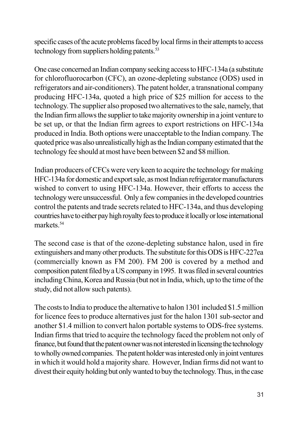specific cases of the acute problems faced by local firms in their attempts to access technology from suppliers holding patents.<sup>53</sup>

One case concerned an Indian company seeking access to HFC-134a (a substitute for chlorofluorocarbon (CFC), an ozone-depleting substance (ODS) used in refrigerators and air-conditioners). The patent holder, a transnational company producing HFC-134a, quoted a high price of \$25 million for access to the technology. The supplier also proposed two alternatives to the sale, namely, that the Indian firm allows the supplier to take majority ownership in a joint venture to be set up, or that the Indian firm agrees to export restrictions on HFC-134a produced in India. Both options were unacceptable to the Indian company. The quoted price was also unrealistically high as the Indian company estimated that the technology fee should at most have been between \$2 and \$8 million.

Indian producers of CFCs were very keen to acquire the technology for making HFC-134a for domestic and export sale, as most Indian refrigerator manufacturers wished to convert to using HFC-134a. However, their efforts to access the technology were unsuccessful. Only a few companies in the developed countries control the patents and trade secrets related to HFC-134a, and thus developing countries have to either pay high royalty fees to produce it locally or lose international markets<sup>54</sup>

The second case is that of the ozone-depleting substance halon, used in fire extinguishers and many other products. The substitute for this ODS is HFC-227ea (commercially known as FM 200). FM 200 is covered by a method and composition patent filed by a US company in 1995. It was filed in several countries including China, Korea and Russia (but not in India, which, up to the time of the study, did not allow such patents).

The costs to India to produce the alternative to halon 1301 included \$1.5 million for licence fees to produce alternatives just for the halon 1301 sub-sector and another \$1.4 million to convert halon portable systems to ODS-free systems. Indian firms that tried to acquire the technology faced the problem not only of finance, but found that the patent owner was not interested in licensing the technology to wholly owned companies. The patent holder was interested only in joint ventures in which it would hold a majority share. However, Indian firms did not want to divest their equity holding but only wanted to buy the technology. Thus, in the case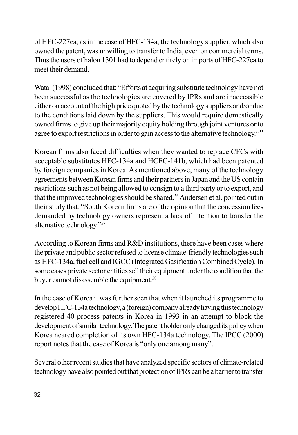of HFC-227ea, as in the case of HFC-134a, the technology supplier, which also owned the patent, was unwilling to transfer to India, even on commercial terms. Thus the users of halon 1301 had to depend entirely on imports of HFC-227ea to meet their demand

Watal (1998) concluded that: "Efforts at acquiring substitute technology have not been successful as the technologies are covered by IPRs and are inaccessible either on account of the high price quoted by the technology suppliers and/or due to the conditions laid down by the suppliers. This would require domestically owned firms to give up their majority equity holding through joint ventures or to agree to export restrictions in order to gain access to the alternative technology."<sup>55</sup>

Korean firms also faced difficulties when they wanted to replace CFCs with acceptable substitutes HFC-134a and HCFC-141b, which had been patented by foreign companies in Korea. As mentioned above, many of the technology agreements between Korean firms and their partners in Japan and the US contain restrictions such as not being allowed to consign to a third party or to export, and that the improved technologies should be shared.<sup>56</sup> Andersen et al. pointed out in their study that: "South Korean firms are of the opinion that the concession fees demanded by technology owners represent a lack of intention to transfer the alternative technology."57

According to Korean firms and R&D institutions, there have been cases where the private and public sector refused to license climate-friendly technologies such as HFC-134a, fuel cell and IGCC (Integrated Gasification Combined Cycle). In some cases private sector entities sell their equipment under the condition that the buyer cannot disassemble the equipment.<sup>58</sup>

In the case of Korea it was further seen that when it launched its programme to develop HFC-134a technology, a (foreign) company already having this technology registered 40 process patents in Korea in 1993 in an attempt to block the development of similar technology. The patent holder only changed its policy when Korea neared completion of its own HFC-134a technology. The IPCC (2000) report notes that the case of Korea is "only one among many".

Several other recent studies that have analyzed specific sectors of climate-related technology have also pointed out that protection of IPRs can be a barrier to transfer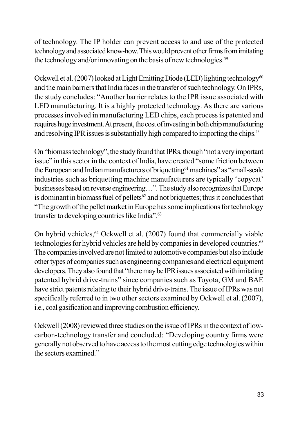of technology. The IP holder can prevent access to and use of the protected technology and associated know-how. This would prevent other firms from imitating the technology and/or innovating on the basis of new technologies.<sup>59</sup>

Ockwell et al. (2007) looked at Light Emitting Diode (LED) lighting technology<sup>60</sup> and the main barriers that India faces in the transfer of such technology. On IPRs, the study concludes: "Another barrier relates to the IPR issue associated with LED manufacturing. It is a highly protected technology. As there are various processes involved in manufacturing LED chips, each process is patented and requires huge investment. At present, the cost of investing in both chip manufacturing and resolving IPR issues is substantially high compared to importing the chips."

On "biomass technology", the study found that IPRs, though "not a very important issue" in this sector in the context of India, have created "some friction between the European and Indian manufacturers of briquetting<sup>61</sup> machines" as "small-scale industries such as briquetting machine manufacturers are typically 'copycat' businesses based on reverse engineering...". The study also recognizes that Europe is dominant in biomass fuel of pellets<sup>62</sup> and not briquettes; thus it concludes that "The growth of the pellet market in Europe has some implications for technology transfer to developing countries like India".<sup>63</sup>

On hybrid vehicles,<sup>64</sup> Ockwell et al. (2007) found that commercially viable technologies for hybrid vehicles are held by companies in developed countries.<sup>65</sup> The companies involved are not limited to automotive companies but also include other types of companies such as engineering companies and electrical equipment developers. They also found that "there may be IPR issues associated with imitating patented hybrid drive-trains" since companies such as Toyota, GM and BAE have strict patents relating to their hybrid drive-trains. The issue of IPRs was not specifically referred to in two other sectors examined by Ockwell et al. (2007), i.e., coal gasification and improving combustion efficiency.

Ockwell (2008) reviewed three studies on the issue of IPRs in the context of lowcarbon-technology transfer and concluded: "Developing country firms were generally not observed to have access to the most cutting edge technologies within the sectors examined."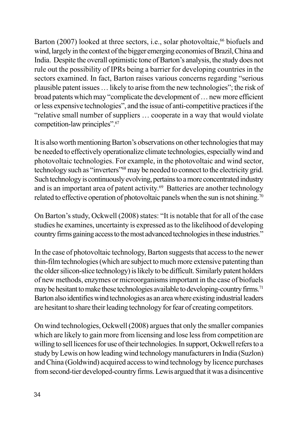Barton (2007) looked at three sectors, i.e., solar photovoltaic,<sup>66</sup> biofuels and wind, largely in the context of the bigger emerging economies of Brazil, China and India. Despite the overall optimistic tone of Barton's analysis, the study does not rule out the possibility of IPRs being a barrier for developing countries in the sectors examined. In fact, Barton raises various concerns regarding "serious plausible patent issues ... likely to arise from the new technologies"; the risk of broad patents which may "complicate the development of ... new more efficient or less expensive technologies", and the issue of anti-competitive practices if the "relative small number of suppliers ... cooperate in a way that would violate competition-law principles".<sup>67</sup>

It is also worth mentioning Barton's observations on other technologies that may be needed to effectively operationalize climate technologies, especially wind and photovoltaic technologies. For example, in the photovoltaic and wind sector, technology such as "inverters"<sup>68</sup> may be needed to connect to the electricity grid. Such technology is continuously evolving, pertains to a more concentrated industry and is an important area of patent activity.<sup>69</sup> Batteries are another technology related to effective operation of photovoltaic panels when the sun is not shining.<sup>70</sup>

On Barton's study, Ockwell (2008) states: "It is notable that for all of the case studies he examines, uncertainty is expressed as to the likelihood of developing country firms gaining access to the most advanced technologies in these industries."

In the case of photovoltaic technology, Barton suggests that access to the newer thin-film technologies (which are subject to much more extensive patenting than the older silicon-slice technology) is likely to be difficult. Similarly patent holders of new methods, enzymes or microorganisms important in the case of biofuels may be hesitant to make these technologies available to developing-country firms.<sup>71</sup> Barton also identifies wind technologies as an area where existing industrial leaders are hesitant to share their leading technology for fear of creating competitors.

On wind technologies, Ockwell (2008) argues that only the smaller companies which are likely to gain more from licensing and lose less from competition are willing to sell licences for use of their technologies. In support, Ockwell refers to a study by Lewis on how leading wind technology manufacturers in India (Suzlon) and China (Goldwind) acquired access to wind technology by licence purchases from second-tier developed-country firms. Lewis argued that it was a disincentive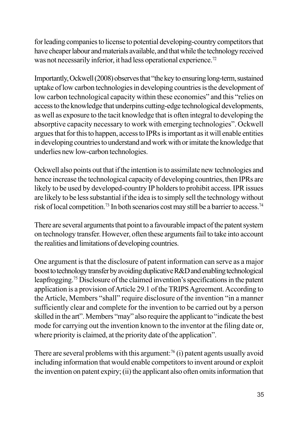for leading companies to license to potential developing-country competitors that have cheaper labour and materials available, and that while the technology received was not necessarily inferior, it had less operational experience.<sup>72</sup>

Importantly, Ockwell (2008) observes that "the key to ensuring long-term, sustained uptake of low carbon technologies in developing countries is the development of low carbon technological capacity within these economies" and this "relies on access to the knowledge that underpins cutting-edge technological developments, as well as exposure to the tacit knowledge that is often integral to developing the absorptive capacity necessary to work with emerging technologies". Ockwell argues that for this to happen, access to IPRs is important as it will enable entities in developing countries to understand and work with or imitate the knowledge that underlies new low-carbon technologies.

Ockwell also points out that if the intention is to assimilate new technologies and hence increase the technological capacity of developing countries, then IPRs are likely to be used by developed-country IP holders to prohibit access. IPR issues are likely to be less substantial if the idea is to simply sell the technology without risk of local competition.<sup>73</sup> In both scenarios cost may still be a barrier to access.<sup>74</sup>

There are several arguments that point to a favourable impact of the patent system on technology transfer. However, often these arguments fail to take into account the realities and limitations of developing countries.

One argument is that the disclosure of patent information can serve as a major boost to technology transfer by avoiding duplicative R&D and enabling technological leapfrogging.<sup>75</sup> Disclosure of the claimed invention's specifications in the patent application is a provision of Article 29.1 of the TRIPS Agreement. According to the Article, Members "shall" require disclosure of the invention "in a manner sufficiently clear and complete for the invention to be carried out by a person skilled in the art". Members "may" also require the applicant to "indicate the best mode for carrying out the invention known to the inventor at the filing date or, where priority is claimed, at the priority date of the application".

There are several problems with this argument:<sup>76</sup> $(i)$  patent agents usually avoid including information that would enable competitors to invent around or exploit the invention on patent expiry; (ii) the applicant also often omits information that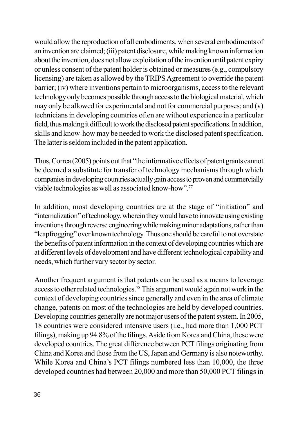would allow the reproduction of all embodiments, when several embodiments of an invention are claimed; (iii) patent disclosure, while making known information about the invention, does not allow exploitation of the invention until patent expiry or unless consent of the patent holder is obtained or measures (e.g., compulsory licensing) are taken as allowed by the TRIPS Agreement to override the patent barrier; (iv) where inventions pertain to microorganisms, access to the relevant technology only becomes possible through access to the biological material, which may only be allowed for experimental and not for commercial purposes; and (v) technicians in developing countries often are without experience in a particular field, thus making it difficult to work the disclosed patent specifications. In addition, skills and know-how may be needed to work the disclosed patent specification. The latter is seldom included in the patent application.

Thus, Correa (2005) points out that "the informative effects of patent grants cannot be deemed a substitute for transfer of technology mechanisms through which companies in developing countries actually gain access to proven and commercially viable technologies as well as associated know-how".<sup>77</sup>

In addition, most developing countries are at the stage of "initiation" and "internalization" of technology, wherein they would have to innovate using existing inventions through reverse engineering while making minor adaptations, rather than "leapfrogging" over known technology. Thus one should be careful to not overstate the benefits of patent information in the context of developing countries which are at different levels of development and have different technological capability and needs, which further vary sector by sector.

Another frequent argument is that patents can be used as a means to leverage access to other related technologies.<sup>78</sup> This argument would again not work in the context of developing countries since generally and even in the area of climate change, patents on most of the technologies are held by developed countries. Developing countries generally are not major users of the patent system. In 2005, 18 countries were considered intensive users (i.e., had more than 1,000 PCT filings), making up 94.8% of the filings. Aside from Korea and China, these were developed countries. The great difference between PCT filings originating from China and Korea and those from the US, Japan and Germany is also noteworthy. While Korea and China's PCT filings numbered less than 10,000, the three developed countries had between 20,000 and more than 50,000 PCT filings in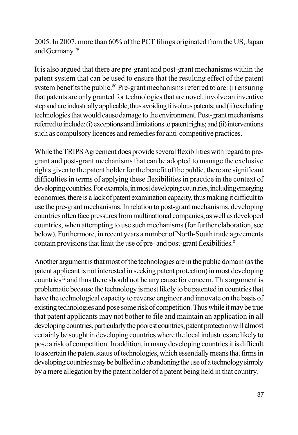2005. In 2007, more than 60% of the PCT filings originated from the US, Japan and Germany.<sup>79</sup>

It is also argued that there are pre-grant and post-grant mechanisms within the patent system that can be used to ensure that the resulting effect of the patent system benefits the public.<sup>80</sup> Pre-grant mechanisms referred to are: (i) ensuring that patents are only granted for technologies that are novel, involve an inventive step and are industrially applicable, thus avoiding frivolous patents; and (ii) excluding technologies that would cause damage to the environment. Post-grant mechanisms referred to include: (i) exceptions and limitations to patent rights; and (ii) interventions such as compulsory licences and remedies for anti-competitive practices.

While the TRIPS Agreement does provide several flexibilities with regard to pregrant and post-grant mechanisms that can be adopted to manage the exclusive rights given to the patent holder for the benefit of the public, there are significant difficulties in terms of applying these flexibilities in practice in the context of developing countries. For example, in most developing countries, including emerging economies, there is a lack of patent examination capacity, thus making it difficult to use the pre-grant mechanisms. In relation to post-grant mechanisms, developing countries often face pressures from multinational companies, as well as developed countries, when attempting to use such mechanisms (for further elaboration, see below). Furthermore, in recent years a number of North-South trade agreements contain provisions that limit the use of pre- and post-grant flexibilities.<sup>81</sup>

Another argument is that most of the technologies are in the public domain (as the patent applicant is not interested in seeking patent protection) in most developing countries<sup>82</sup> and thus there should not be any cause for concern. This argument is problematic because the technology is most likely to be patented in countries that have the technological capacity to reverse engineer and innovate on the basis of existing technologies and pose some risk of competition. Thus while it may be true that patent applicants may not bother to file and maintain an application in all developing countries, particularly the poorest countries, patent protection will almost certainly be sought in developing countries where the local industries are likely to pose a risk of competition. In addition, in many developing countries it is difficult to ascertain the patent status of technologies, which essentially means that firms in developing countries may be bullied into abandoning the use of a technology simply by a mere allegation by the patent holder of a patent being held in that country.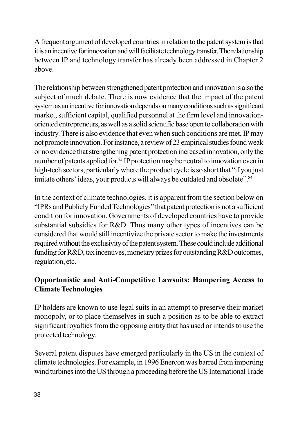A frequent argument of developed countries in relation to the patent system is that it is an incentive for innovation and will facilitate technology transfer. The relationship between IP and technology transfer has already been addressed in Chapter 2 above

The relationship between strengthened patent protection and innovation is also the subject of much debate. There is now evidence that the impact of the patent system as an incentive for innovation depends on many conditions such as significant market, sufficient capital, qualified personnel at the firm level and innovationoriented entrepreneurs, as well as a solid scientific base open to collaboration with industry. There is also evidence that even when such conditions are met, IP may not promote innovation. For instance, a review of 23 empirical studies found weak or no evidence that strengthening patent protection increased innovation, only the number of patents applied for.<sup>83</sup> IP protection may be neutral to innovation even in high-tech sectors, particularly where the product cycle is so short that "if you just imitate others' ideas, your products will always be outdated and obsolete".<sup>84</sup>

In the context of climate technologies, it is apparent from the section below on "IPRs and Publicly Funded Technologies" that patent protection is not a sufficient condition for innovation. Governments of developed countries have to provide substantial subsidies for R&D. Thus many other types of incentives can be considered that would still incentivize the private sector to make the investments required without the exclusivity of the patent system. These could include additional funding for R&D, tax incentives, monetary prizes for outstanding R&D outcomes, regulation, etc.

## Opportunistic and Anti-Competitive Lawsuits: Hampering Access to **Climate Technologies**

IP holders are known to use legal suits in an attempt to preserve their market monopoly, or to place themselves in such a position as to be able to extract significant royalties from the opposing entity that has used or intends to use the protected technology.

Several patent disputes have emerged particularly in the US in the context of climate technologies. For example, in 1996 Enercon was barred from importing wind turbines into the US through a proceeding before the US International Trade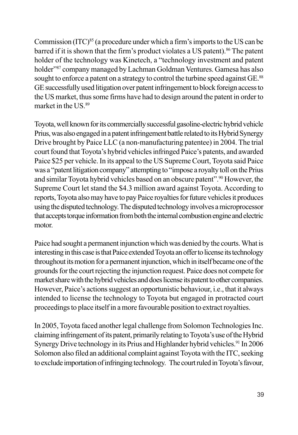Commission (ITC)<sup>85</sup> (a procedure under which a firm's imports to the US can be barred if it is shown that the firm's product violates a US patent).<sup>86</sup> The patent holder of the technology was Kinetech, a "technology investment and patent" holder<sup>387</sup> company managed by Lachman Goldman Ventures. Gamesa has also sought to enforce a patent on a strategy to control the turbine speed against GE.<sup>88</sup> GE successfully used litigation over patent infringement to block foreign access to the US market, thus some firms have had to design around the patent in order to market in the US.<sup>89</sup>

Toyota, well known for its commercially successful gasoline-electric hybrid vehicle Prius, was also engaged in a patent infringement battle related to its Hybrid Synergy Drive brought by Paice LLC (a non-manufacturing patentee) in 2004. The trial court found that Toyota's hybrid vehicles infringed Paice's patents, and awarded Paice \$25 per vehicle. In its appeal to the US Supreme Court, Toyota said Paice was a "patent litigation company" attempting to "impose a royalty toll on the Prius and similar Toyota hybrid vehicles based on an obscure patent".<sup>90</sup> However, the Supreme Court let stand the \$4.3 million award against Toyota. According to reports, Toyota also may have to pay Paice royalties for future vehicles it produces using the disputed technology. The disputed technology involves a microprocessor that accepts torque information from both the internal combustion engine and electric motor.

Paice had sought a permanent injunction which was denied by the courts. What is interesting in this case is that Paice extended Toyota an offer to license its technology throughout its motion for a permanent injunction, which in itself became one of the grounds for the court rejecting the injunction request. Paice does not compete for market share with the hybrid vehicles and does license its patent to other companies. However, Paice's actions suggest an opportunistic behaviour, i.e., that it always intended to license the technology to Toyota but engaged in protracted court proceedings to place itself in a more favourable position to extract royalties.

In 2005, Toyota faced another legal challenge from Solomon Technologies Inc. claiming infringement of its patent, primarily relating to Toyota's use of the Hybrid Synergy Drive technology in its Prius and Highlander hybrid vehicles.<sup>91</sup> In 2006 Solomon also filed an additional complaint against Toyota with the ITC, seeking to exclude importation of infringing technology. The court ruled in Toyota's favour,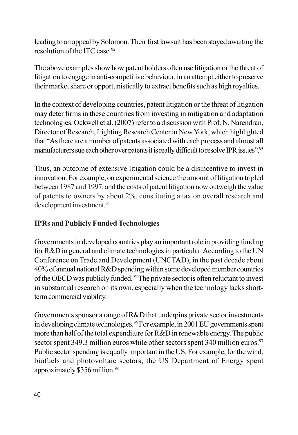leading to an appeal by Solomon. Their first lawsuit has been stayed awaiting the resolution of the ITC case.<sup>92</sup>

The above examples show how patent holders often use litigation or the threat of litigation to engage in anti-competitive behaviour, in an attempt either to preserve their market share or opportunistically to extract benefits such as high royalties.

In the context of developing countries, patent litigation or the threat of litigation may deter firms in these countries from investing in mitigation and adaptation technologies. Ockwell et al. (2007) refer to a discussion with Prof. N. Narendran, Director of Research, Lighting Research Center in New York, which highlighted that "As there are a number of patents associated with each process and almost all manufacturers sue each other over patents it is really difficult to resolve IPR issues".<sup>93</sup>

Thus, an outcome of extensive litigation could be a disincentive to invest in innovation. For example, on experimental science the amount of litigation tripled between 1987 and 1997, and the costs of patent litigation now outweigh the value of patents to owners by about 2%, constituting a tax on overall research and development investment.<sup>94</sup>

## **IPRs and Publicly Funded Technologies**

Governments in developed countries play an important role in providing funding for R&D in general and climate technologies in particular. According to the UN Conference on Trade and Development (UNCTAD), in the past decade about 40% of annual national R&D spending within some developed member countries of the OECD was publicly funded.<sup>95</sup> The private sector is often reluctant to invest in substantial research on its own, especially when the technology lacks shortterm commercial viability.

Governments sponsor a range of R&D that underpins private sector investments in developing climate technologies.<sup>96</sup> For example, in 2001 EU governments spent more than half of the total expenditure for R&D in renewable energy. The public sector spent 349.3 million euros while other sectors spent 340 million euros.<sup>97</sup> Public sector spending is equally important in the US. For example, for the wind, biofuels and photovoltaic sectors, the US Department of Energy spent approximately \$356 million.<sup>98</sup>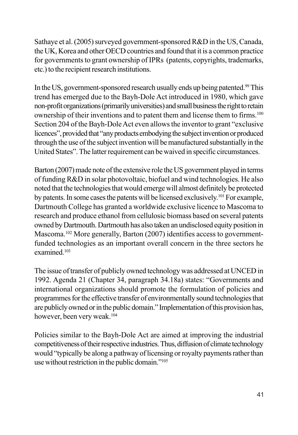Sathaye et al. (2005) surveyed government-sponsored R&D in the US, Canada, the UK, Korea and other OECD countries and found that it is a common practice for governments to grant ownership of IPRs (patents, copyrights, trademarks, etc.) to the recipient research institutions.

In the US, government-sponsored research usually ends up being patented.<sup>99</sup> This trend has emerged due to the Bayh-Dole Act introduced in 1980, which gave non-profit organizations (primarily universities) and small business the right to retain ownership of their inventions and to patent them and license them to firms.<sup>100</sup> Section 204 of the Bayh-Dole Act even allows the inventor to grant "exclusive" licences", provided that "any products embodying the subject invention or produced through the use of the subject invention will be manufactured substantially in the United States". The latter requirement can be waived in specific circumstances.

Barton (2007) made note of the extensive role the US government played in terms of funding R&D in solar photovoltaic, biofuel and wind technologies. He also noted that the technologies that would emerge will almost definitely be protected by patents. In some cases the patents will be licensed exclusively.<sup>101</sup> For example, Dartmouth College has granted a worldwide exclusive licence to Mascoma to research and produce ethanol from cellulosic biomass based on several patents owned by Dartmouth. Dartmouth has also taken an undisclosed equity position in Mascoma.<sup>102</sup> More generally, Barton (2007) identifies access to governmentfunded technologies as an important overall concern in the three sectors he examined  $^{103}$ 

The issue of transfer of publicly owned technology was addressed at UNCED in 1992. Agenda 21 (Chapter 34, paragraph 34.18a) states: "Governments and international organizations should promote the formulation of policies and programmes for the effective transfer of environmentally sound technologies that are publicly owned or in the public domain." Implementation of this provision has, however, been very weak.<sup>104</sup>

Policies similar to the Bayh-Dole Act are aimed at improving the industrial competitiveness of their respective industries. Thus, diffusion of climate technology would "typically be along a pathway of licensing or royalty payments rather than use without restriction in the public domain."<sup>105</sup>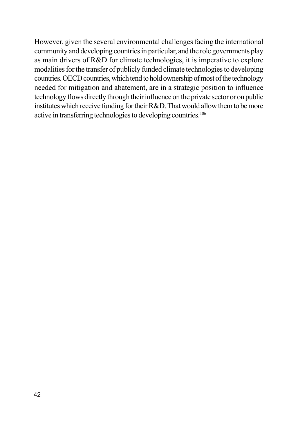However, given the several environmental challenges facing the international community and developing countries in particular, and the role governments play as main drivers of R&D for climate technologies, it is imperative to explore modalities for the transfer of publicly funded climate technologies to developing countries. OECD countries, which tend to hold ownership of most of the technology needed for mitigation and abatement, are in a strategic position to influence technology flows directly through their influence on the private sector or on public institutes which receive funding for their R&D. That would allow them to be more active in transferring technologies to developing countries.<sup>106</sup>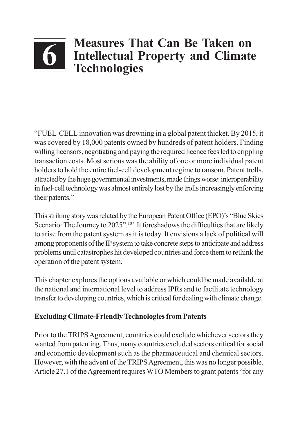# **Measures That Can Be Taken on** Intellectual Property and Climate **Technologies**

"FUEL-CELL innovation was drowning in a global patent thicket. By 2015, it was covered by 18,000 patents owned by hundreds of patent holders. Finding willing licensors, negotiating and paying the required licence fees led to crippling transaction costs. Most serious was the ability of one or more individual patent holders to hold the entire fuel-cell development regime to ransom. Patent trolls, attracted by the huge governmental investments, made things worse: interoperability in fuel-cell technology was almost entirely lost by the trolls increasingly enforcing their patents."

This striking story was related by the European Patent Office (EPO)'s "Blue Skies" Scenario: The Journey to 2025".<sup>107</sup> It foreshadows the difficulties that are likely to arise from the patent system as it is today. It envisions a lack of political will among proponents of the IP system to take concrete steps to anticipate and address problems until catastrophes hit developed countries and force them to rethink the operation of the patent system.

This chapter explores the options available or which could be made available at the national and international level to address IPRs and to facilitate technology transfer to developing countries, which is critical for dealing with climate change.

## **Excluding Climate-Friendly Technologies from Patents**

Prior to the TRIPS Agreement, countries could exclude whichever sectors they wanted from patenting. Thus, many countries excluded sectors critical for social and economic development such as the pharmaceutical and chemical sectors. However, with the advent of the TRIPS Agreement, this was no longer possible. Article 27.1 of the Agreement requires WTO Members to grant patents "for any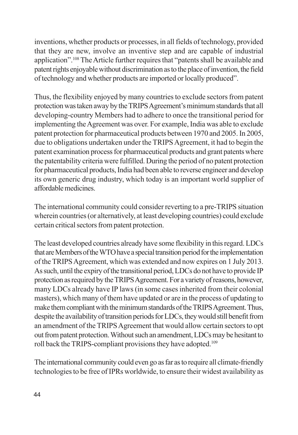inventions, whether products or processes, in all fields of technology, provided that they are new, involve an inventive step and are capable of industrial application".<sup>108</sup> The Article further requires that "patents shall be available and patent rights enjoyable without discrimination as to the place of invention, the field of technology and whether products are imported or locally produced".

Thus, the flexibility enjoyed by many countries to exclude sectors from patent protection was taken away by the TRIPS Agreement's minimum standards that all developing-country Members had to adhere to once the transitional period for implementing the Agreement was over. For example, India was able to exclude patent protection for pharmaceutical products between 1970 and 2005. In 2005, due to obligations undertaken under the TRIPS Agreement, it had to begin the patent examination process for pharmaceutical products and grant patents where the patentability criteria were fulfilled. During the period of no patent protection for pharmaceutical products, India had been able to reverse engineer and develop its own generic drug industry, which today is an important world supplier of affordable medicines.

The international community could consider reverting to a pre-TRIPS situation wherein countries (or alternatively, at least developing countries) could exclude certain critical sectors from patent protection.

The least developed countries already have some flexibility in this regard. LDCs that are Members of the WTO have a special transition period for the implementation of the TRIPS Agreement, which was extended and now expires on 1 July 2013. As such, until the expiry of the transitional period, LDCs do not have to provide IP protection as required by the TRIPS Agreement. For a variety of reasons, however, many LDCs already have IP laws (in some cases inherited from their colonial masters), which many of them have updated or are in the process of updating to make them compliant with the minimum standards of the TRIPS Agreement. Thus, despite the availability of transition periods for LDCs, they would still benefit from an amendment of the TRIPS Agreement that would allow certain sectors to opt out from patent protection. Without such an amendment, LDCs may be hesitant to roll back the TRIPS-compliant provisions they have adopted.<sup>109</sup>

The international community could even go as far as to require all climate-friendly technologies to be free of IPRs worldwide, to ensure their widest availability as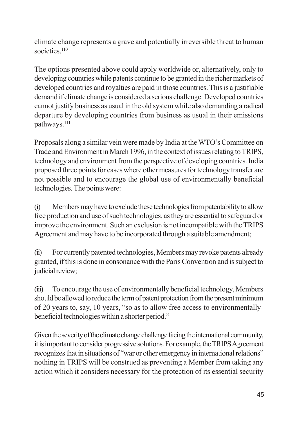climate change represents a grave and potentially irreversible threat to human societies 110

The options presented above could apply worldwide or, alternatively, only to developing countries while patents continue to be granted in the richer markets of developed countries and royalties are paid in those countries. This is a justifiable demand if climate change is considered a serious challenge. Developed countries cannot justify business as usual in the old system while also demanding a radical departure by developing countries from business as usual in their emissions pathways.<sup>111</sup>

Proposals along a similar vein were made by India at the WTO's Committee on Trade and Environment in March 1996, in the context of issues relating to TRIPS, technology and environment from the perspective of developing countries. India proposed three points for cases where other measures for technology transfer are not possible and to encourage the global use of environmentally beneficial technologies. The points were:

 $(i)$ Members may have to exclude these technologies from patentability to allow free production and use of such technologies, as they are essential to safeguard or improve the environment. Such an exclusion is not incompatible with the TRIPS Agreement and may have to be incorporated through a suitable amendment;

 $(ii)$ For currently patented technologies, Members may revoke patents already granted, if this is done in consonance with the Paris Convention and is subject to judicial review;

To encourage the use of environmentally beneficial technology, Members  $(iii)$ should be allowed to reduce the term of patent protection from the present minimum of 20 years to, say, 10 years, "so as to allow free access to environmentallybeneficial technologies within a shorter period."

Given the severity of the climate change challenge facing the international community, it is important to consider progressive solutions. For example, the TRIPS Agreement recognizes that in situations of "war or other emergency in international relations" nothing in TRIPS will be construed as preventing a Member from taking any action which it considers necessary for the protection of its essential security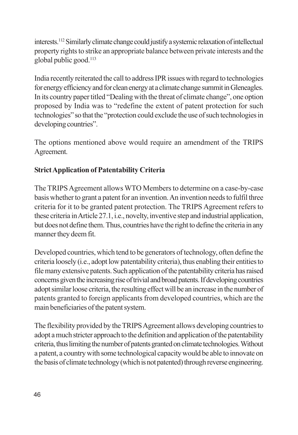interests.<sup>112</sup> Similarly climate change could justify a systemic relaxation of intellectual property rights to strike an appropriate balance between private interests and the global public good.<sup>113</sup>

India recently reiterated the call to address IPR issues with regard to technologies for energy efficiency and for clean energy at a climate change summit in Gleneagles. In its country paper titled "Dealing with the threat of climate change", one option proposed by India was to "redefine the extent of patent protection for such technologies" so that the "protection could exclude the use of such technologies in developing countries".

The options mentioned above would require an amendment of the TRIPS Agreement.

# **Strict Application of Patentability Criteria**

The TRIPS Agreement allows WTO Members to determine on a case-by-case basis whether to grant a patent for an invention. An invention needs to fulfil three criteria for it to be granted patent protection. The TRIPS Agreement refers to these criteria in Article 27.1, i.e., novelty, inventive step and industrial application, but does not define them. Thus, countries have the right to define the criteria in any manner they deem fit.

Developed countries, which tend to be generators of technology, often define the criteria loosely (i.e., adopt low patentability criteria), thus enabling their entities to file many extensive patents. Such application of the patentability criteria has raised concerns given the increasing rise of trivial and broad patents. If developing countries adopt similar loose criteria, the resulting effect will be an increase in the number of patents granted to foreign applicants from developed countries, which are the main beneficiaries of the patent system.

The flexibility provided by the TRIPS Agreement allows developing countries to adopt a much stricter approach to the definition and application of the patentability criteria, thus limiting the number of patents granted on climate technologies. Without a patent, a country with some technological capacity would be able to innovate on the basis of climate technology (which is not patented) through reverse engineering.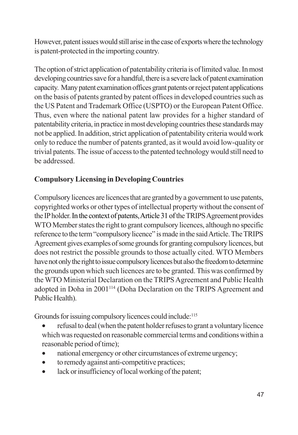However, patent issues would still arise in the case of exports where the technology is patent-protected in the importing country.

The option of strict application of patentability criteria is of limited value. In most developing countries save for a handful, there is a severe lack of patent examination capacity. Many patent examination offices grant patents or reject patent applications on the basis of patents granted by patent offices in developed countries such as the US Patent and Trademark Office (USPTO) or the European Patent Office. Thus, even where the national patent law provides for a higher standard of patentability criteria, in practice in most developing countries these standards may not be applied. In addition, strict application of patentability criteria would work only to reduce the number of patents granted, as it would avoid low-quality or trivial patents. The issue of access to the patented technology would still need to be addressed

# **Compulsory Licensing in Developing Countries**

Compulsory licences are licences that are granted by a government to use patents, copyrighted works or other types of intellectual property without the consent of the IP holder. In the context of patents, Article 31 of the TRIPS Agreement provides WTO Member states the right to grant compulsory licences, although no specific reference to the term "compulsory licence" is made in the said Article. The TRIPS Agreement gives examples of some grounds for granting compulsory licences, but does not restrict the possible grounds to those actually cited. WTO Members have not only the right to issue compulsory licences but also the freedom to determine the grounds upon which such licences are to be granted. This was confirmed by the WTO Ministerial Declaration on the TRIPS Agreement and Public Health adopted in Doha in 2001<sup>114</sup> (Doha Declaration on the TRIPS Agreement and Public Health).

Grounds for issuing compulsory licences could include:<sup>115</sup>

- refusal to deal (when the patent holder refuses to grant a voluntary licence which was requested on reasonable commercial terms and conditions within a reasonable period of time);
- national emergency or other circumstances of extreme urgency;
- to remedy against anti-competitive practices;  $\bullet$
- lack or insufficiency of local working of the patent;  $\bullet$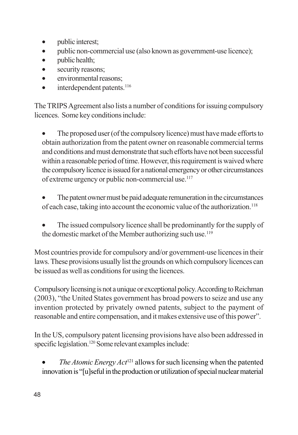- public interest;  $\bullet$
- public non-commercial use (also known as government-use licence);  $\bullet$
- public health;  $\bullet$
- security reasons:  $\bullet$
- environmental reasons;  $\bullet$
- interdependent patents.<sup>116</sup>  $\bullet$

The TRIPS Agreement also lists a number of conditions for issuing compulsory licences. Some key conditions include:

The proposed user (of the compulsory licence) must have made efforts to obtain authorization from the patent owner on reasonable commercial terms and conditions and must demonstrate that such efforts have not been successful within a reasonable period of time. However, this requirement is waived where the compulsory licence is issued for a national emergency or other circumstances of extreme urgency or public non-commercial use.<sup>117</sup>

- The patent owner must be paid adequate remuneration in the circumstances of each case, taking into account the economic value of the authorization.<sup>118</sup>
- The issued compulsory licence shall be predominantly for the supply of the domestic market of the Member authorizing such use.<sup>119</sup>

Most countries provide for compulsory and/or government-use licences in their laws. These provisions usually list the grounds on which compulsory licences can be issued as well as conditions for using the licences.

Compulsory licensing is not a unique or exceptional policy. According to Reichman (2003), "the United States government has broad powers to seize and use any invention protected by privately owned patents, subject to the payment of reasonable and entire compensation, and it makes extensive use of this power".

In the US, compulsory patent licensing provisions have also been addressed in specific legislation.<sup>120</sup> Some relevant examples include:

*The Atomic Energy Act*<sup>121</sup> allows for such licensing when the patented innovation is "[u]seful in the production or utilization of special nuclear material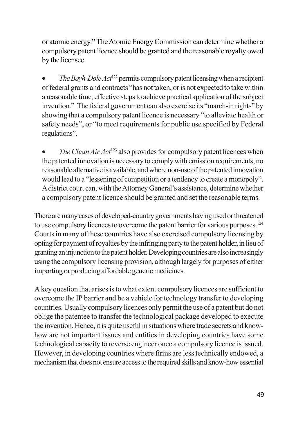or atomic energy." The Atomic Energy Commission can determine whether a compulsory patent licence should be granted and the reasonable royalty owed by the licensee.

The Bayh-Dole Act<sup>122</sup> permits compulsory patent licensing when a recipient of federal grants and contracts "has not taken, or is not expected to take within a reasonable time, effective steps to achieve practical application of the subject invention." The federal government can also exercise its "march-in rights" by showing that a compulsory patent licence is necessary "to alleviate health or safety needs", or "to meet requirements for public use specified by Federal regulations".

The Clean Air Act<sup>123</sup> also provides for compulsory patent licences when the patented innovation is necessary to comply with emission requirements, no reasonable alternative is available, and where non-use of the patented innovation would lead to a "lessening of competition or a tendency to create a monopoly". A district court can, with the Attorney General's assistance, determine whether a compulsory patent licence should be granted and set the reasonable terms.

There are many cases of developed-country governments having used or threatened to use compulsory licences to overcome the patent barrier for various purposes.<sup>124</sup> Courts in many of these countries have also exercised compulsory licensing by opting for payment of royalties by the infringing party to the patent holder, in lieu of granting an injunction to the patent holder. Developing countries are also increasingly using the compulsory licensing provision, although largely for purposes of either importing or producing affordable generic medicines.

A key question that arises is to what extent compulsory licences are sufficient to overcome the IP barrier and be a vehicle for technology transfer to developing countries. Usually compulsory licences only permit the use of a patent but do not oblige the patentee to transfer the technological package developed to execute the invention. Hence, it is quite useful in situations where trade secrets and knowhow are not important issues and entities in developing countries have some technological capacity to reverse engineer once a compulsory licence is issued. However, in developing countries where firms are less technically endowed, a mechanism that does not ensure access to the required skills and know-how essential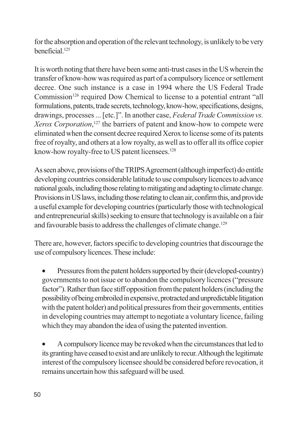for the absorption and operation of the relevant technology, is unlikely to be very heneficial<sup>125</sup>

It is worth noting that there have been some anti-trust cases in the US wherein the transfer of know-how was required as part of a compulsory licence or settlement decree. One such instance is a case in 1994 where the US Federal Trade Commission<sup>126</sup> required Dow Chemical to license to a potential entrant "all formulations, patents, trade secrets, technology, know-how, specifications, designs, drawings, processes ... [etc.]". In another case, Federal Trade Commission vs. Xerox Corporation,<sup>127</sup> the barriers of patent and know-how to compete were eliminated when the consent decree required Xerox to license some of its patents free of royalty, and others at a low royalty, as well as to offer all its office copier know-how royalty-free to US patent licensees.<sup>128</sup>

As seen above, provisions of the TRIPS Agreement (although imperfect) do entitle developing countries considerable latitude to use compulsory licences to advance national goals, including those relating to mitigating and adapting to climate change. Provisions in US laws, including those relating to clean air, confirm this, and provide a useful example for developing countries (particularly those with technological and entrepreneurial skills) seeking to ensure that technology is available on a fair and favourable basis to address the challenges of climate change.<sup>129</sup>

There are, however, factors specific to developing countries that discourage the use of compulsory licences. These include:

Pressures from the patent holders supported by their (developed-country)  $\bullet$ governments to not issue or to abandon the compulsory licences ("pressure factor"). Rather than face stiff opposition from the patent holders (including the possibility of being embroiled in expensive, protracted and unpredictable litigation with the patent holder) and political pressures from their governments, entities in developing countries may attempt to negotiate a voluntary licence, failing which they may abandon the idea of using the patented invention.

A compulsory licence may be revoked when the circumstances that led to its granting have ceased to exist and are unlikely to recur. Although the legitimate interest of the compulsory licensee should be considered before revocation, it remains uncertain how this safeguard will be used.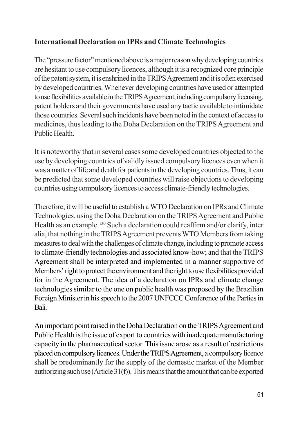#### **International Declaration on IPRs and Climate Technologies**

The "pressure factor" mentioned above is a major reason why developing countries are hesitant to use compulsory licences, although it is a recognized core principle of the patent system, it is enshrined in the TRIPS Agreement and it is often exercised by developed countries. Whenever developing countries have used or attempted to use flexibilities available in the TRIPS Agreement, including compulsory licensing, patent holders and their governments have used any tactic available to intimidate those countries. Several such incidents have been noted in the context of access to medicines, thus leading to the Doha Declaration on the TRIPS Agreement and Public Health.

It is noteworthy that in several cases some developed countries objected to the use by developing countries of validly issued compulsory licences even when it was a matter of life and death for patients in the developing countries. Thus, it can be predicted that some developed countries will raise objections to developing countries using compulsory licences to access climate-friendly technologies.

Therefore, it will be useful to establish a WTO Declaration on IPRs and Climate Technologies, using the Doha Declaration on the TRIPS Agreement and Public Health as an example.<sup>130</sup> Such a declaration could reaffirm and/or clarify, inter alia, that nothing in the TRIPS Agreement prevents WTO Members from taking measures to deal with the challenges of climate change, including to promote access to climate-friendly technologies and associated know-how; and that the TRIPS Agreement shall be interpreted and implemented in a manner supportive of Members' right to protect the environment and the right to use flexibilities provided for in the Agreement. The idea of a declaration on IPRs and climate change technologies similar to the one on public health was proposed by the Brazilian Foreign Minister in his speech to the 2007 UNFCCC Conference of the Parties in Bali.

An important point raised in the Doha Declaration on the TRIPS Agreement and Public Health is the issue of export to countries with inadequate manufacturing capacity in the pharmaceutical sector. This issue arose as a result of restrictions placed on compulsory licences. Under the TRIPS Agreement, a compulsory licence shall be predominantly for the supply of the domestic market of the Member authorizing such use (Article  $31(f)$ ). This means that the amount that can be exported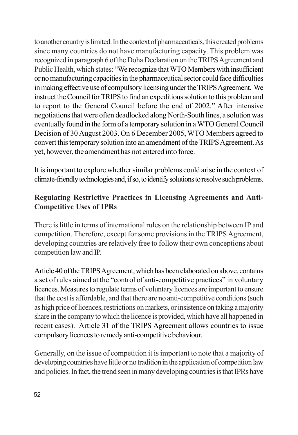to another country is limited. In the context of pharmaceuticals, this created problems since many countries do not have manufacturing capacity. This problem was recognized in paragraph 6 of the Doha Declaration on the TRIPS Agreement and Public Health, which states: "We recognize that WTO Members with insufficient or no manufacturing capacities in the pharmaceutical sector could face difficulties in making effective use of compulsory licensing under the TRIPS Agreement. We instruct the Council for TRIPS to find an expeditious solution to this problem and to report to the General Council before the end of 2002." After intensive negotiations that were often deadlocked along North-South lines, a solution was eventually found in the form of a temporary solution in a WTO General Council Decision of 30 August 2003. On 6 December 2005, WTO Members agreed to convert this temporary solution into an amendment of the TRIPS Agreement. As yet, however, the amendment has not entered into force.

It is important to explore whether similar problems could arise in the context of climate-friendly technologies and, if so, to identify solutions to resolve such problems.

#### **Regulating Restrictive Practices in Licensing Agreements and Anti-Competitive Uses of IPRs**

There is little in terms of international rules on the relationship between IP and competition. Therefore, except for some provisions in the TRIPS Agreement, developing countries are relatively free to follow their own conceptions about competition law and IP.

Article 40 of the TRIPS Agreement, which has been elaborated on above, contains a set of rules aimed at the "control of anti-competitive practices" in voluntary licences. Measures to regulate terms of voluntary licences are important to ensure that the cost is affordable, and that there are no anti-competitive conditions (such as high price of licences, restrictions on markets, or insistence on taking a majority share in the company to which the licence is provided, which have all happened in recent cases). Article 31 of the TRIPS Agreement allows countries to issue compulsory licences to remedy anti-competitive behaviour.

Generally, on the issue of competition it is important to note that a majority of developing countries have little or no tradition in the application of competition law and policies. In fact, the trend seen in many developing countries is that IPRs have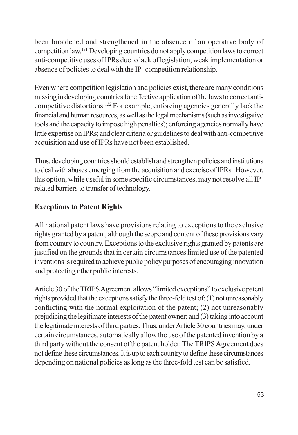been broadened and strengthened in the absence of an operative body of competition law.<sup>131</sup> Developing countries do not apply competition laws to correct anti-competitive uses of IPRs due to lack of legislation, weak implementation or absence of policies to deal with the IP-competition relationship.

Even where competition legislation and policies exist, there are many conditions missing in developing countries for effective application of the laws to correct anticompetitive distortions.<sup>132</sup> For example, enforcing agencies generally lack the financial and human resources, as well as the legal mechanisms (such as investigative tools and the capacity to impose high penalties); enforcing agencies normally have little expertise on IPRs; and clear criteria or guidelines to deal with anti-competitive acquisition and use of IPRs have not been established.

Thus, developing countries should establish and strengthen policies and institutions to deal with abuses emerging from the acquisition and exercise of IPRs. However, this option, while useful in some specific circumstances, may not resolve all IPrelated barriers to transfer of technology.

## **Exceptions to Patent Rights**

All national patent laws have provisions relating to exceptions to the exclusive rights granted by a patent, although the scope and content of these provisions vary from country to country. Exceptions to the exclusive rights granted by patents are justified on the grounds that in certain circumstances limited use of the patented inventions is required to achieve public policy purposes of encouraging innovation and protecting other public interests.

Article 30 of the TRIPS Agreement allows "limited exceptions" to exclusive patent rights provided that the exceptions satisfy the three-fold test of: (1) not unreasonably conflicting with the normal exploitation of the patent; (2) not unreasonably prejudicing the legitimate interests of the patent owner; and (3) taking into account the legitimate interests of third parties. Thus, under Article 30 countries may, under certain circumstances, automatically allow the use of the patented invention by a third party without the consent of the patent holder. The TRIPS Agreement does not define these circumstances. It is up to each country to define these circumstances depending on national policies as long as the three-fold test can be satisfied.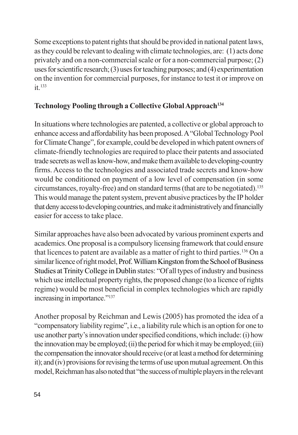Some exceptions to patent rights that should be provided in national patent laws, as they could be relevant to dealing with climate technologies, are: (1) acts done privately and on a non-commercial scale or for a non-commercial purpose; (2) uses for scientific research;  $(3)$  uses for teaching purposes; and  $(4)$  experimentation on the invention for commercial purposes, for instance to test it or improve on  $it$ <sup>133</sup>

#### Technology Pooling through a Collective Global Approach<sup>134</sup>

In situations where technologies are patented, a collective or global approach to enhance access and affordability has been proposed. A "Global Technology Pool" for Climate Change", for example, could be developed in which patent owners of climate-friendly technologies are required to place their patents and associated trade secrets as well as know-how, and make them available to developing-country firms. Access to the technologies and associated trade secrets and know-how would be conditioned on payment of a low level of compensation (in some circumstances, royalty-free) and on standard terms (that are to be negotiated).<sup>135</sup> This would manage the patent system, prevent abusive practices by the IP holder that deny access to developing countries, and make it administratively and financially easier for access to take place.

Similar approaches have also been advocated by various prominent experts and academics. One proposal is a compulsory licensing framework that could ensure that licences to patent are available as a matter of right to third parties.<sup>136</sup> On a similar licence of right model, Prof. William Kingston from the School of Business Studies at Trinity College in Dublin states: "Of all types of industry and business which use intellectual property rights, the proposed change (to a licence of rights regime) would be most beneficial in complex technologies which are rapidly increasing in importance."<sup>137</sup>

Another proposal by Reichman and Lewis (2005) has promoted the idea of a "compensatory liability regime", i.e., a liability rule which is an option for one to use another party's innovation under specified conditions, which include: (i) how the innovation may be employed; (ii) the period for which it may be employed; (iii) the compensation the innovator should receive (or at least a method for determining it); and (iv) provisions for revising the terms of use upon mutual agreement. On this model, Reichman has also noted that "the success of multiple players in the relevant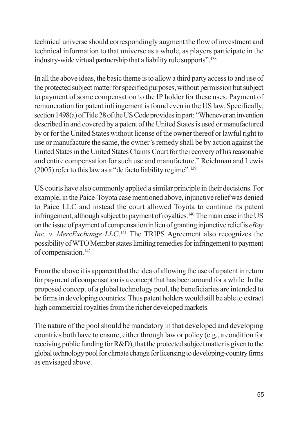technical universe should correspondingly augment the flow of investment and technical information to that universe as a whole, as players participate in the industry-wide virtual partnership that a liability rule supports".<sup>138</sup>

In all the above ideas, the basic theme is to allow a third party access to and use of the protected subject matter for specified purposes, without permission but subject to payment of some compensation to the IP holder for these uses. Payment of remuneration for patent infringement is found even in the US law. Specifically, section 1498(a) of Title 28 of the US Code provides in part: "Whenever an invention described in and covered by a patent of the United States is used or manufactured by or for the United States without license of the owner thereof or lawful right to use or manufacture the same, the owner's remedy shall be by action against the United States in the United States Claims Court for the recovery of his reasonable and entire compensation for such use and manufacture." Reichman and Lewis (2005) refer to this law as a "de facto liability regime".<sup>139</sup>

US courts have also commonly applied a similar principle in their decisions. For example, in the Paice-Toyota case mentioned above, injunctive relief was denied to Paice LLC and instead the court allowed Toyota to continue its patent infringement, although subject to payment of royalties.<sup>140</sup> The main case in the US on the issue of payment of compensation in lieu of granting injunctive relief is  $eBay$ Inc. v. MercExchange LLC.<sup>141</sup> The TRIPS Agreement also recognizes the possibility of WTO Member states limiting remedies for infringement to payment of compensation.<sup>142</sup>

From the above it is apparent that the idea of allowing the use of a patent in return for payment of compensation is a concept that has been around for a while. In the proposed concept of a global technology pool, the beneficiaries are intended to be firms in developing countries. Thus patent holders would still be able to extract high commercial royalties from the richer developed markets.

The nature of the pool should be mandatory in that developed and developing countries both have to ensure, either through law or policy (e.g., a condition for receiving public funding for R&D), that the protected subject matter is given to the global technology pool for climate change for licensing to developing-country firms as envisaged above.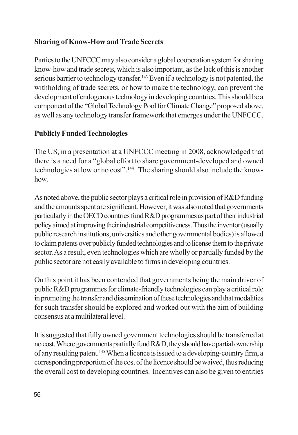#### **Sharing of Know-How and Trade Secrets**

Parties to the UNFCCC may also consider a global cooperation system for sharing know-how and trade secrets, which is also important, as the lack of this is another serious barrier to technology transfer.<sup>143</sup> Even if a technology is not patented, the withholding of trade secrets, or how to make the technology, can prevent the development of endogenous technology in developing countries. This should be a component of the "Global Technology Pool for Climate Change" proposed above, as well as any technology transfer framework that emerges under the UNFCCC.

## **Publicly Funded Technologies**

The US, in a presentation at a UNFCCC meeting in 2008, acknowledged that there is a need for a "global effort to share government-developed and owned technologies at low or no cost".<sup>144</sup> The sharing should also include the knowhow.

As noted above, the public sector plays a critical role in provision of R&D funding and the amounts spent are significant. However, it was also noted that governments particularly in the OECD countries fund R&D programmes as part of their industrial policy aimed at improving their industrial competitiveness. Thus the inventor (usually public research institutions, universities and other governmental bodies) is allowed to claim patents over publicly funded technologies and to license them to the private sector. As a result, even technologies which are wholly or partially funded by the public sector are not easily available to firms in developing countries.

On this point it has been contended that governments being the main driver of public R&D programmes for climate-friendly technologies can play a critical role in promoting the transfer and dissemination of these technologies and that modalities for such transfer should be explored and worked out with the aim of building consensus at a multilateral level.

It is suggested that fully owned government technologies should be transferred at no cost. Where governments partially fund R&D, they should have partial ownership of any resulting patent.<sup>145</sup> When a licence is issued to a developing-country firm, a corresponding proportion of the cost of the licence should be waived, thus reducing the overall cost to developing countries. Incentives can also be given to entities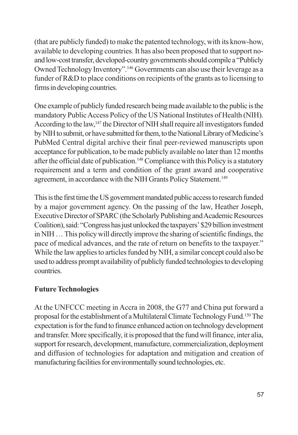(that are publicly funded) to make the patented technology, with its know-how, available to developing countries. It has also been proposed that to support noand low-cost transfer, developed-country governments should compile a "Publicly Owned Technology Inventory".<sup>146</sup> Governments can also use their leverage as a funder of R&D to place conditions on recipients of the grants as to licensing to firms in developing countries.

One example of publicly funded research being made available to the public is the mandatory Public Access Policy of the US National Institutes of Health (NIH). According to the law,<sup>147</sup> the Director of NIH shall require all investigators funded by NIH to submit, or have submitted for them, to the National Library of Medicine's PubMed Central digital archive their final peer-reviewed manuscripts upon acceptance for publication, to be made publicly available no later than 12 months after the official date of publication.<sup>148</sup> Compliance with this Policy is a statutory requirement and a term and condition of the grant award and cooperative agreement, in accordance with the NIH Grants Policy Statement.<sup>149</sup>

This is the first time the US government mandated public access to research funded by a major government agency. On the passing of the law, Heather Joseph, Executive Director of SPARC (the Scholarly Publishing and Academic Resources Coalition), said: "Congress has just unlocked the taxpayers" \$29 billion investment in NIH ... This policy will directly improve the sharing of scientific findings, the pace of medical advances, and the rate of return on benefits to the taxpayer." While the law applies to articles funded by NIH, a similar concept could also be used to address prompt availability of publicly funded technologies to developing countries.

## **Future Technologies**

At the UNFCCC meeting in Accra in 2008, the G77 and China put forward a proposal for the establishment of a Multilateral Climate Technology Fund.<sup>150</sup> The expectation is for the fund to finance enhanced action on technology development and transfer. More specifically, it is proposed that the fund will finance, inter alia, support for research, development, manufacture, commercialization, deployment and diffusion of technologies for adaptation and mitigation and creation of manufacturing facilities for environmentally sound technologies, etc.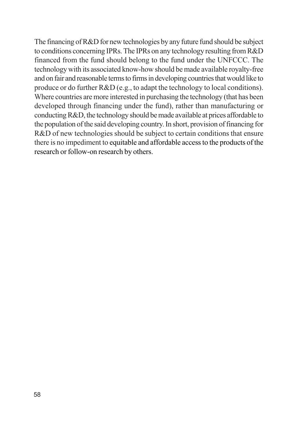The financing of R&D for new technologies by any future fund should be subject to conditions concerning IPRs. The IPRs on any technology resulting from R&D financed from the fund should belong to the fund under the UNFCCC. The technology with its associated know-how should be made available royalty-free and on fair and reasonable terms to firms in developing countries that would like to produce or do further R&D (e.g., to adapt the technology to local conditions). Where countries are more interested in purchasing the technology (that has been developed through financing under the fund), rather than manufacturing or conducting R&D, the technology should be made available at prices affordable to the population of the said developing country. In short, provision of financing for R&D of new technologies should be subject to certain conditions that ensure there is no impediment to equitable and affordable access to the products of the research or follow-on research by others.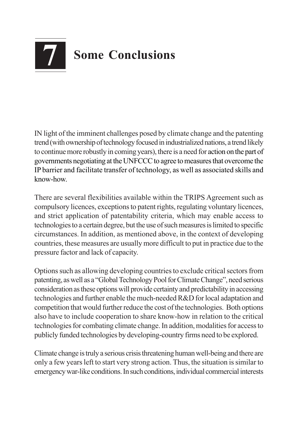# 7 **Some Conclusions**

IN light of the imminent challenges posed by climate change and the patenting trend (with ownership of technology focused in industrialized nations, a trend likely to continue more robustly in coming years), there is a need for action on the part of governments negotiating at the UNFCCC to agree to measures that overcome the IP barrier and facilitate transfer of technology, as well as associated skills and know-how.

There are several flexibilities available within the TRIPS Agreement such as compulsory licences, exceptions to patent rights, regulating voluntary licences, and strict application of patentability criteria, which may enable access to technologies to a certain degree, but the use of such measures is limited to specific circumstances. In addition, as mentioned above, in the context of developing countries, these measures are usually more difficult to put in practice due to the pressure factor and lack of capacity.

Options such as allowing developing countries to exclude critical sectors from patenting, as well as a "Global Technology Pool for Climate Change", need serious consideration as these options will provide certainty and predictability in accessing technologies and further enable the much-needed R&D for local adaptation and competition that would further reduce the cost of the technologies. Both options also have to include cooperation to share know-how in relation to the critical technologies for combating climate change. In addition, modalities for access to publicly funded technologies by developing-country firms need to be explored.

Climate change is truly a serious crisis threatening human well-being and there are only a few years left to start very strong action. Thus, the situation is similar to emergency war-like conditions. In such conditions, individual commercial interests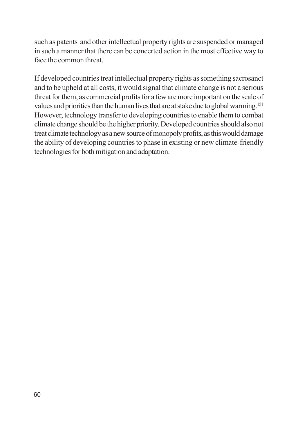such as patents and other intellectual property rights are suspended or managed in such a manner that there can be concerted action in the most effective way to face the common threat

If developed countries treat intellectual property rights as something sacrosanct and to be upheld at all costs, it would signal that climate change is not a serious threat for them, as commercial profits for a few are more important on the scale of values and priorities than the human lives that are at stake due to global warming.<sup>151</sup> However, technology transfer to developing countries to enable them to combat climate change should be the higher priority. Developed countries should also not treat climate technology as a new source of monopoly profits, as this would damage the ability of developing countries to phase in existing or new climate-friendly technologies for both mitigation and adaptation.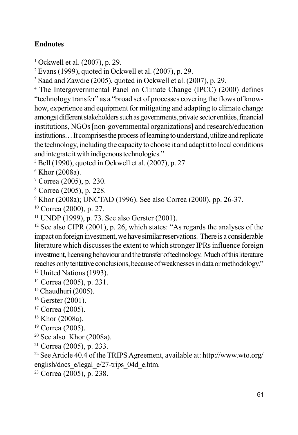#### **Endnotes**

<sup>1</sup> Ockwell et al.  $(2007)$ , p. 29.

 $2$  Evans (1999), quoted in Ockwell et al. (2007), p. 29.

<sup>3</sup> Saad and Zawdie (2005), quoted in Ockwell et al. (2007), p. 29.

<sup>4</sup> The Intergovernmental Panel on Climate Change (IPCC) (2000) defines "technology transfer" as a "broad set of processes covering the flows of knowhow, experience and equipment for mitigating and adapting to climate change amongst different stakeholders such as governments, private sector entities, financial institutions, NGOs [non-governmental organizations] and research/education institutions... It comprises the process of learning to understand, utilize and replicate the technology, including the capacity to choose it and adapt it to local conditions and integrate it with indigenous technologies."

 $5$  Bell (1990), quoted in Ockwell et al. (2007), p. 27.

 $6$  Khor (2008a).

 $7$  Correa (2005), p. 230.

<sup>8</sup> Correa (2005), p. 228.

<sup>9</sup> Khor (2008a); UNCTAD (1996). See also Correa (2000), pp. 26-37.

 $10$  Correa (2000), p. 27.

 $11$  UNDP (1999), p. 73. See also Gerster (2001).

 $12$  See also CIPR (2001), p. 26, which states: "As regards the analyses of the impact on foreign investment, we have similar reservations. There is a considerable literature which discusses the extent to which stronger IPRs influence foreign investment, licensing behaviour and the transfer of technology. Much of this literature reaches only tentative conclusions, because of weaknesses in data or methodology." <sup>13</sup> United Nations (1993).

 $14$  Correa (2005), p. 231.

- <sup>15</sup> Chaudhuri (2005).
- $16$  Gerster (2001).
- <sup>17</sup> Correa (2005).
- $18$  Khor (2008a).
- $19$  Correa (2005).
- $20$  See also Khor (2008a).
- <sup>21</sup> Correa (2005), p. 233.

<sup>22</sup> See Article 40.4 of the TRIPS Agreement, available at: http://www.wto.org/ english/docs e/legal e/27-trips 04d e.htm.

<sup>23</sup> Correa (2005), p. 238.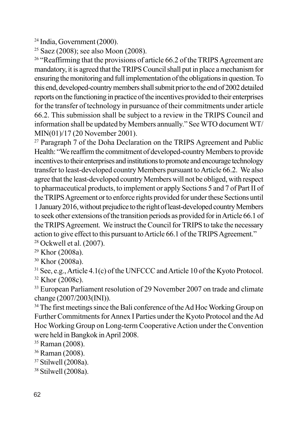<sup>24</sup> India, Government (2000).

<sup>25</sup> Saez (2008); see also Moon (2008).

<sup>26</sup> "Reaffirming that the provisions of article 66.2 of the TRIPS Agreement are mandatory, it is agreed that the TRIPS Council shall put in place a mechanism for ensuring the monitoring and full implementation of the obligations in question. To this end, developed-country members shall submit prior to the end of 2002 detailed reports on the functioning in practice of the incentives provided to their enterprises for the transfer of technology in pursuance of their commitments under article 66.2. This submission shall be subject to a review in the TRIPS Council and information shall be updated by Members annually." See WTO document WT/ MIN(01)/17 (20 November 2001).

<sup>27</sup> Paragraph 7 of the Doha Declaration on the TRIPS Agreement and Public Health: "We reaffirm the commitment of developed-country Members to provide incentives to their enterprises and institutions to promote and encourage technology transfer to least-developed country Members pursuant to Article 66.2. We also agree that the least-developed country Members will not be obliged, with respect to pharmaceutical products, to implement or apply Sections 5 and 7 of Part II of the TRIPS Agreement or to enforce rights provided for under these Sections until 1 January 2016, without prejudice to the right of least-developed country Members to seek other extensions of the transition periods as provided for in Article 66.1 of the TRIPS Agreement. We instruct the Council for TRIPS to take the necessary action to give effect to this pursuant to Article 66.1 of the TRIPS Agreement." <sup>28</sup> Ockwell et al. (2007).

 $29$  Khor (2008a).

<sup>30</sup> Khor (2008a).

<sup>31</sup> See, e.g., Article 4.1(c) of the UNFCCC and Article 10 of the Kyoto Protocol. <sup>32</sup> Khor (2008c).

<sup>33</sup> European Parliament resolution of 29 November 2007 on trade and climate change (2007/2003(INI)).

<sup>34</sup> The first meetings since the Bali conference of the Ad Hoc Working Group on Further Commitments for Annex I Parties under the Kyoto Protocol and the Ad Hoc Working Group on Long-term Cooperative Action under the Convention were held in Bangkok in April 2008.

<sup>35</sup> Raman (2008).

<sup>36</sup> Raman (2008).

 $37$  Stilwell (2008a).

<sup>38</sup> Stilwell (2008a).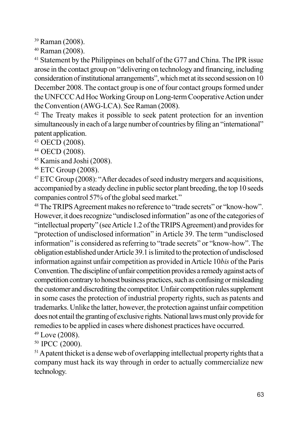<sup>39</sup> Raman (2008).

 $40$  Raman (2008).

<sup>41</sup> Statement by the Philippines on behalf of the G77 and China. The IPR issue arose in the contact group on "delivering on technology and financing, including consideration of institutional arrangements", which met at its second session on 10 December 2008. The contact group is one of four contact groups formed under the UNFCCC Ad Hoc Working Group on Long-term Cooperative Action under the Convention (AWG-LCA). See Raman (2008).

<sup>42</sup> The Treaty makes it possible to seek patent protection for an invention simultaneously in each of a large number of countries by filing an "international" patent application.

<sup>43</sup> OECD (2008).

<sup>44</sup> OECD (2008).

<sup>45</sup> Kamis and Joshi (2008).

<sup>46</sup> ETC Group (2008).

<sup>47</sup> ETC Group (2008): "After decades of seed industry mergers and acquisitions, accompanied by a steady decline in public sector plant breeding, the top 10 seeds companies control 57% of the global seed market."

<sup>48</sup> The TRIPS Agreement makes no reference to "trade secrets" or "know-how". However, it does recognize "undisclosed information" as one of the categories of "intellectual property" (see Article 1.2 of the TRIPS Agreement) and provides for "protection of undisclosed information" in Article 39. The term "undisclosed" information" is considered as referring to "trade secrets" or "know-how". The obligation established under Article 39.1 is limited to the protection of undisclosed information against unfair competition as provided in Article 10bis of the Paris Convention. The discipline of unfair competition provides a remedy against acts of competition contrary to honest business practices, such as confusing or misleading the customer and discrediting the competitor. Unfair competition rules supplement in some cases the protection of industrial property rights, such as patents and trademarks. Unlike the latter, however, the protection against unfair competition does not entail the granting of exclusive rights. National laws must only provide for remedies to be applied in cases where dishonest practices have occurred.

 $49$  Love (2008).

<sup>50</sup> IPCC (2000).

<sup>51</sup> A patent thicket is a dense web of overlapping intellectual property rights that a company must hack its way through in order to actually commercialize new technology.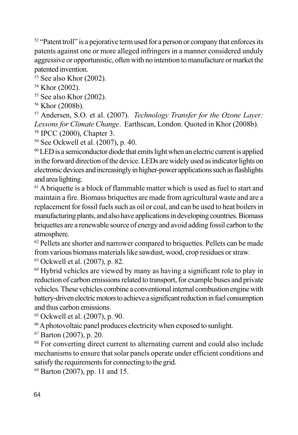<sup>52</sup> "Patent troll" is a pejorative term used for a person or company that enforces its patents against one or more alleged infringers in a manner considered unduly aggressive or opportunistic, often with no intention to manufacture or market the patented invention.

<sup>53</sup> See also Khor (2002).

<sup>54</sup> Khor (2002).

 $55$  See also Khor (2002).

<sup>56</sup> Khor (2008b).

<sup>57</sup> Andersen, S.O. et al. (2007). *Technology Transfer for the Ozone Layer*: Lessons for Climate Change. Earthscan, London. Quoted in Khor (2008b). <sup>58</sup> IPCC (2000), Chapter 3.

 $59$  See Ockwell et al. (2007), p. 40.

<sup>60</sup> LED is a semiconductor diode that emits light when an electric current is applied in the forward direction of the device. LEDs are widely used as indicator lights on electronic devices and increasingly in higher-power applications such as flashlights and area lighting.

 $<sup>61</sup>$  A briquette is a block of flammable matter which is used as fuel to start and</sup> maintain a fire. Biomass briquettes are made from agricultural waste and are a replacement for fossil fuels such as oil or coal, and can be used to heat boilers in manufacturing plants, and also have applications in developing countries. Biomass briquettes are a renewable source of energy and avoid adding fossil carbon to the atmosphere.

<sup>62</sup> Pellets are shorter and narrower compared to briquettes. Pellets can be made from various biomass materials like sawdust, wood, crop residues or straw.

 $63$  Ockwell et al. (2007), p. 82.

<sup>64</sup> Hybrid vehicles are viewed by many as having a significant role to play in reduction of carbon emissions related to transport, for example buses and private vehicles. These vehicles combine a conventional internal combustion engine with battery-driven electric motors to achieve a significant reduction in fuel consumption and thus carbon emissions.

 $65$  Ockwell et al. (2007), p. 90.

<sup>66</sup> A photovoltaic panel produces electricity when exposed to sunlight.

 $67$  Barton (2007), p. 20.

<sup>68</sup> For converting direct current to alternating current and could also include mechanisms to ensure that solar panels operate under efficient conditions and satisfy the requirements for connecting to the grid.

 $69$  Barton (2007), pp. 11 and 15.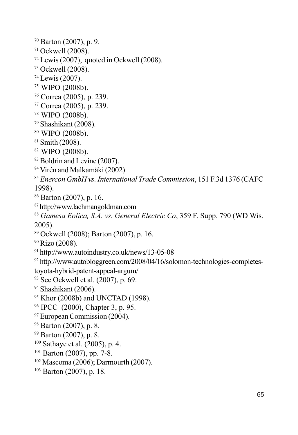$70$  Barton (2007), p. 9.  $71$  Ockwell (2008).  $72$  Lewis (2007), quoted in Ockwell (2008). <sup>73</sup> Ockwell (2008). <sup>74</sup> Lewis (2007). <sup>75</sup> WIPO (2008b). <sup>76</sup> Correa (2005), p. 239. <sup>77</sup> Correa (2005), p. 239. <sup>78</sup> WIPO (2008b).  $79$  Shashikant (2008). 80 WIPO (2008b).  $81$  Smith (2008). <sup>82</sup> WIPO (2008b). <sup>83</sup> Boldrin and Levine (2007). <sup>84</sup> Virén and Malkamäki (2002). <sup>85</sup> Enercon GmbH vs. International Trade Commission, 151 F.3d 1376 (CAFC 1998). <sup>86</sup> Barton (2007), p. 16. <sup>87</sup> http://www.lachmangoldman.com <sup>88</sup> Gamesa Eolica, S.A. vs. General Electric Co, 359 F. Supp. 790 (WD Wis.  $2005$ ). <sup>89</sup> Ockwell (2008); Barton (2007), p. 16. <sup>90</sup> Rizo (2008). <sup>91</sup> http://www.autoindustry.co.uk/news/13-05-08 <sup>92</sup> http://www.autobloggreen.com/2008/04/16/solomon-technologies-completestoyota-hybrid-patent-appeal-argum/  $93$  See Ockwell et al. (2007), p. 69.  $94$  Shashikant (2006). <sup>95</sup> Khor (2008b) and UNCTAD (1998). <sup>96</sup> IPCC (2000), Chapter 3, p. 95. <sup>97</sup> European Commission (2004).  $98$  Barton (2007), p. 8. <sup>99</sup> Barton (2007), p. 8.  $100$  Sathaye et al. (2005), p. 4. <sup>101</sup> Barton (2007), pp. 7-8.  $102$  Mascoma (2006); Darmourth (2007).

 $103$  Barton (2007), p. 18.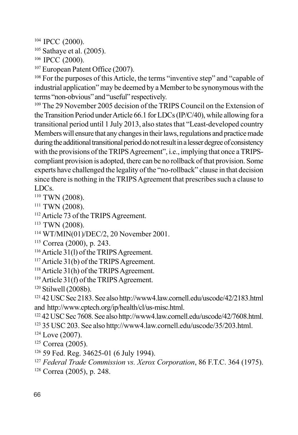<sup>104</sup> IPCC (2000).

 $105$  Sathaye et al. (2005).

<sup>106</sup> IPCC (2000).

<sup>107</sup> European Patent Office (2007).

<sup>108</sup> For the purposes of this Article, the terms "inventive step" and "capable of industrial application" may be deemed by a Member to be synonymous with the terms "non-obvious" and "useful" respectively.

<sup>109</sup> The 29 November 2005 decision of the TRIPS Council on the Extension of the Transition Period under Article 66.1 for LDCs (IP/C/40), while allowing for a transitional period until 1 July 2013, also states that "Least-developed country Members will ensure that any changes in their laws, regulations and practice made during the additional transitional period do not result in a lesser degree of consistency with the provisions of the TRIPS Agreement", i.e., implying that once a TRIPScompliant provision is adopted, there can be no rollback of that provision. Some experts have challenged the legality of the "no-rollback" clause in that decision since there is nothing in the TRIPS Agreement that prescribes such a clause to LDCs.

<sup>110</sup> TWN (2008).

 $111$  TWN (2008).

<sup>112</sup> Article 73 of the TRIPS Agreement.

<sup>113</sup> TWN (2008).

 $114$  WT/MIN(01)/DEC/2, 20 November 2001.

- <sup>115</sup> Correa (2000), p. 243.
- <sup>116</sup> Article 31(1) of the TRIPS Agreement.

 $117$  Article 31(b) of the TRIPS Agreement.

 $118$  Article 31(h) of the TRIPS Agreement.

 $119$  Article 31(f) of the TRIPS Agreement.

 $120$  Stilwell (2008b).

<sup>121</sup> 42 USC Sec 2183. See also http://www4.law.cornell.edu/uscode/42/2183.html and http://www.cptech.org/ip/health/cl/us-misc.html.

<sup>122</sup> 42 USC Sec 7608. See also http://www4.law.cornell.edu/uscode/42/7608.html. <sup>123</sup> 35 USC 203. See also http://www4.law.cornell.edu/uscode/35/203.html.

 $124$  Love (2007).

- <sup>125</sup> Correa (2005).
- <sup>126</sup> 59 Fed. Reg. 34625-01 (6 July 1994).
- <sup>127</sup> Federal Trade Commission vs. Xerox Corporation, 86 F.T.C. 364 (1975).
- <sup>128</sup> Correa (2005), p. 248.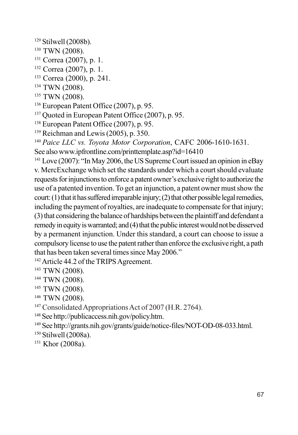$129$  Stilwell (2008b).

- <sup>130</sup> TWN (2008).
- <sup>131</sup> Correa (2007), p. 1.
- <sup>132</sup> Correa (2007), p. 1.
- <sup>133</sup> Correa (2000), p. 241.
- <sup>134</sup> TWN (2008).
- <sup>135</sup> TWN (2008).
- <sup>136</sup> European Patent Office (2007), p. 95.
- <sup>137</sup> Ouoted in European Patent Office (2007), p. 95.
- <sup>138</sup> European Patent Office (2007), p. 95.
- $139$  Reichman and Lewis (2005), p. 350.
- <sup>140</sup> Paice LLC vs. Toyota Motor Corporation, CAFC 2006-1610-1631.
- See also www.ipfrontline.com/printtemplate.asp?id=16410

 $141$  Love (2007): "In May 2006, the US Supreme Court issued an opinion in eBay v. MercExchange which set the standards under which a court should evaluate requests for injunctions to enforce a patent owner's exclusive right to authorize the use of a patented invention. To get an injunction, a patent owner must show the court: (1) that it has suffered irreparable injury; (2) that other possible legal remedies, including the payment of royalties, are inadequate to compensate for that injury; (3) that considering the balance of hardships between the plaintiff and defendant a remedy in equity is warranted; and (4) that the public interest would not be disserved by a permanent injunction. Under this standard, a court can choose to issue a compulsory license to use the patent rather than enforce the exclusive right, a path that has been taken several times since May 2006."

<sup>142</sup> Article 44.2 of the TRIPS Agreement.

- <sup>143</sup> TWN (2008).
- <sup>144</sup> TWN (2008).
- <sup>145</sup> TWN (2008).
- <sup>146</sup> TWN (2008).
- <sup>147</sup> Consolidated Appropriations Act of 2007 (H.R. 2764).
- <sup>148</sup> See http://publicaccess.nih.gov/policy.htm.
- <sup>149</sup> See http://grants.nih.gov/grants/guide/notice-files/NOT-OD-08-033.html.
- <sup>150</sup> Stilwell (2008a).
- <sup>151</sup> Khor (2008a).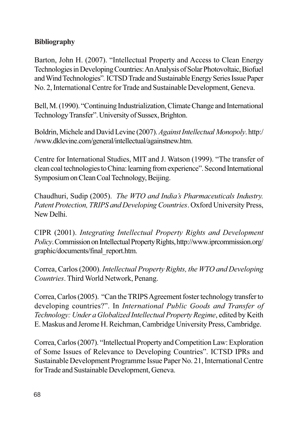## **Bibliography**

Barton, John H. (2007). "Intellectual Property and Access to Clean Energy Technologies in Developing Countries: An Analysis of Solar Photovoltaic, Biofuel and Wind Technologies". ICTSD Trade and Sustainable Energy Series Issue Paper No. 2, International Centre for Trade and Sustainable Development, Geneva.

Bell, M. (1990). "Continuing Industrialization, Climate Change and International Technology Transfer". University of Sussex, Brighton.

Boldrin, Michele and David Levine (2007). Against Intellectual Monopoly. http:/ /www.dklevine.com/general/intellectual/againstnew.htm.

Centre for International Studies, MIT and J. Watson (1999). "The transfer of clean coal technologies to China: learning from experience". Second International Symposium on Clean Coal Technology, Beijing.

Chaudhuri, Sudip (2005). The WTO and India's Pharmaceuticals Industry. Patent Protection, TRIPS and Developing Countries. Oxford University Press, New Delhi

CIPR (2001). Integrating Intellectual Property Rights and Development *Policy*. Commission on Intellectual Property Rights, http://www.iprcommission.org/ graphic/documents/final report.htm.

Correa, Carlos (2000). Intellectual Property Rights, the WTO and Developing Countries. Third World Network, Penang.

Correa, Carlos (2005). "Can the TRIPS Agreement foster technology transfer to developing countries?". In International Public Goods and Transfer of Technology: Under a Globalized Intellectual Property Regime, edited by Keith E. Maskus and Jerome H. Reichman, Cambridge University Press, Cambridge.

Correa, Carlos (2007). "Intellectual Property and Competition Law: Exploration of Some Issues of Relevance to Developing Countries". ICTSD IPRs and Sustainable Development Programme Issue Paper No. 21, International Centre for Trade and Sustainable Development, Geneva.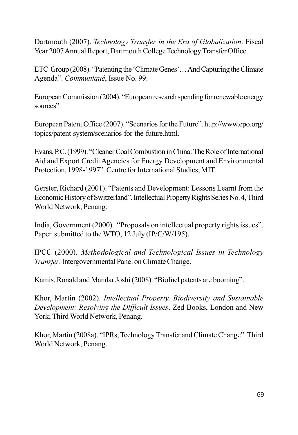Dartmouth (2007). Technology Transfer in the Era of Globalization. Fiscal Year 2007 Annual Report, Dartmouth College Technology Transfer Office.

ETC Group (2008). "Patenting the 'Climate Genes'... And Capturing the Climate Agenda". Communiqué, Issue No. 99.

European Commission (2004). "European research spending for renewable energy sources".

European Patent Office (2007). "Scenarios for the Future". http://www.epo.org/ topics/patent-system/scenarios-for-the-future.html.

Evans, P.C. (1999). "Cleaner Coal Combustion in China: The Role of International Aid and Export Credit Agencies for Energy Development and Environmental Protection, 1998-1997". Centre for International Studies, MIT.

Gerster, Richard (2001). "Patents and Development: Lessons Learnt from the Economic History of Switzerland". Intellectual Property Rights Series No. 4, Third World Network, Penang.

India, Government (2000). "Proposals on intellectual property rights issues". Paper submitted to the WTO, 12 July (IP/C/W/195).

IPCC (2000). Methodological and Technological Issues in Technology Transfer. Intergovernmental Panel on Climate Change.

Kamis, Ronald and Mandar Joshi (2008). "Biofuel patents are booming".

Khor, Martin (2002). Intellectual Property, Biodiversity and Sustainable Development: Resolving the Difficult Issues. Zed Books, London and New York; Third World Network, Penang.

Khor, Martin (2008a). "IPRs, Technology Transfer and Climate Change". Third World Network, Penang.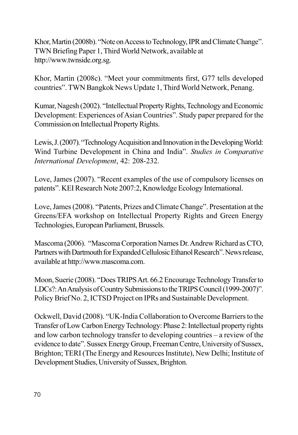Khor, Martin (2008b). "Note on Access to Technology, IPR and Climate Change". TWN Briefing Paper 1, Third World Network, available at http://www.twnside.org.sg.

Khor, Martin (2008c). "Meet your commitments first, G77 tells developed countries". TWN Bangkok News Update 1, Third World Network, Penang.

Kumar, Nagesh (2002). "Intellectual Property Rights, Technology and Economic Development: Experiences of Asian Countries". Study paper prepared for the Commission on Intellectual Property Rights.

Lewis, J. (2007). "Technology Acquisition and Innovation in the Developing World: Wind Turbine Development in China and India". Studies in Comparative International Development, 42: 208-232.

Love, James (2007). "Recent examples of the use of compulsory licenses on patents". KEI Research Note 2007:2, Knowledge Ecology International.

Love, James (2008). "Patents, Prizes and Climate Change". Presentation at the Greens/EFA workshop on Intellectual Property Rights and Green Energy Technologies, European Parliament, Brussels.

Mascoma (2006). "Mascoma Corporation Names Dr. Andrew Richard as CTO, Partners with Dartmouth for Expanded Cellulosic Ethanol Research". News release, available at http://www.mascoma.com.

Moon, Suerie (2008). "Does TRIPS Art. 66.2 Encourage Technology Transfer to LDCs?: An Analysis of Country Submissions to the TRIPS Council (1999-2007)". Policy Brief No. 2, ICTSD Project on IPRs and Sustainable Development.

Ockwell, David (2008). "UK-India Collaboration to Overcome Barriers to the Transfer of Low Carbon Energy Technology: Phase 2: Intellectual property rights and low carbon technology transfer to developing countries – a review of the evidence to date". Sussex Energy Group, Freeman Centre, University of Sussex, Brighton; TERI (The Energy and Resources Institute), New Delhi; Institute of Development Studies, University of Sussex, Brighton.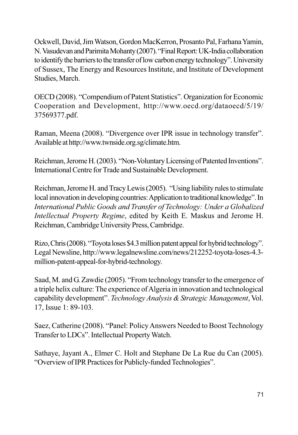Ockwell, David, Jim Watson, Gordon MacKerron, Prosanto Pal, Farhana Yamin, N. Vasudevan and Parimita Mohanty (2007). "Final Report: UK-India collaboration to identify the barriers to the transfer of low carbon energy technology". University of Sussex, The Energy and Resources Institute, and Institute of Development Studies, March.

OECD (2008). "Compendium of Patent Statistics". Organization for Economic Cooperation and Development, http://www.oecd.org/dataoecd/5/19/ 37569377.pdf.

Raman, Meena (2008). "Divergence over IPR issue in technology transfer". Available at http://www.twnside.org.sg/climate.htm.

Reichman, Jerome H. (2003). "Non-Voluntary Licensing of Patented Inventions". International Centre for Trade and Sustainable Development.

Reichman, Jerome H. and Tracy Lewis (2005). "Using liability rules to stimulate local innovation in developing countries: Application to traditional knowledge". In International Public Goods and Transfer of Technology: Under a Globalized Intellectual Property Regime, edited by Keith E. Maskus and Jerome H. Reichman, Cambridge University Press, Cambridge.

Rizo, Chris (2008). "Toyota loses \$4.3 million patent appeal for hybrid technology". Legal Newsline, http://www.legalnewsline.com/news/212252-toyota-loses-4.3million-patent-appeal-for-hybrid-technology.

Saad, M. and G. Zawdie (2005). "From technology transfer to the emergence of a triple helix culture: The experience of Algeria in innovation and technological capability development". Technology Analysis & Strategic Management, Vol. 17, Issue 1: 89-103.

Saez, Catherine (2008). "Panel: Policy Answers Needed to Boost Technology Transfer to LDCs". Intellectual Property Watch.

Sathaye, Jayant A., Elmer C. Holt and Stephane De La Rue du Can (2005). "Overview of IPR Practices for Publicly-funded Technologies".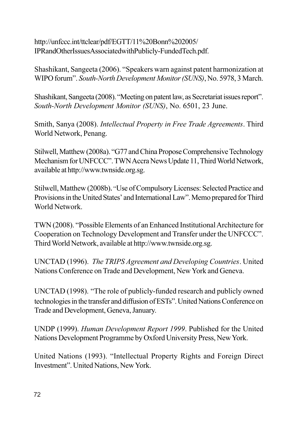http://unfccc.int/ttclear/pdf/EGTT/11%20Bonn%202005/ IPRandOtherIssuesAssociatedwithPublicly-FundedTech.pdf.

Shashikant, Sangeeta (2006). "Speakers warn against patent harmonization at WIPO forum". South-North Development Monitor (SUNS), No. 5978, 3 March.

Shashikant, Sangeeta (2008). "Meeting on patent law, as Secretariat issues report". South-North Development Monitor (SUNS), No. 6501, 23 June.

Smith, Sanya (2008). Intellectual Property in Free Trade Agreements. Third World Network, Penang.

Stilwell, Matthew (2008a). "G77 and China Propose Comprehensive Technology Mechanism for UNFCCC". TWN Accra News Update 11, Third World Network, available at http://www.twnside.org.sg.

Stilwell, Matthew (2008b). "Use of Compulsory Licenses: Selected Practice and Provisions in the United States' and International Law". Memo prepared for Third World Network

TWN (2008). "Possible Elements of an Enhanced Institutional Architecture for Cooperation on Technology Development and Transfer under the UNFCCC". Third World Network, available at http://www.twnside.org.sg.

UNCTAD (1996). The TRIPS Agreement and Developing Countries. United Nations Conference on Trade and Development, New York and Geneva.

UNCTAD (1998). "The role of publicly-funded research and publicly owned technologies in the transfer and diffusion of ESTs". United Nations Conference on Trade and Development, Geneva, January.

UNDP (1999). Human Development Report 1999. Published for the United Nations Development Programme by Oxford University Press, New York.

United Nations (1993). "Intellectual Property Rights and Foreign Direct Investment". United Nations, New York.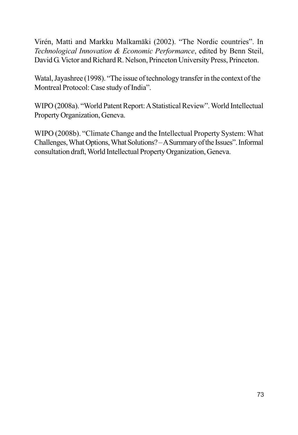Virén, Matti and Markku Malkamäki (2002). "The Nordic countries". In Technological Innovation & Economic Performance, edited by Benn Steil, David G. Victor and Richard R. Nelson, Princeton University Press, Princeton.

Watal, Jayashree (1998). "The issue of technology transfer in the context of the Montreal Protocol: Case study of India".

WIPO (2008a). "World Patent Report: A Statistical Review". World Intellectual Property Organization, Geneva.

WIPO (2008b). "Climate Change and the Intellectual Property System: What Challenges, What Options, What Solutions? - A Summary of the Issues". Informal consultation draft, World Intellectual Property Organization, Geneva.